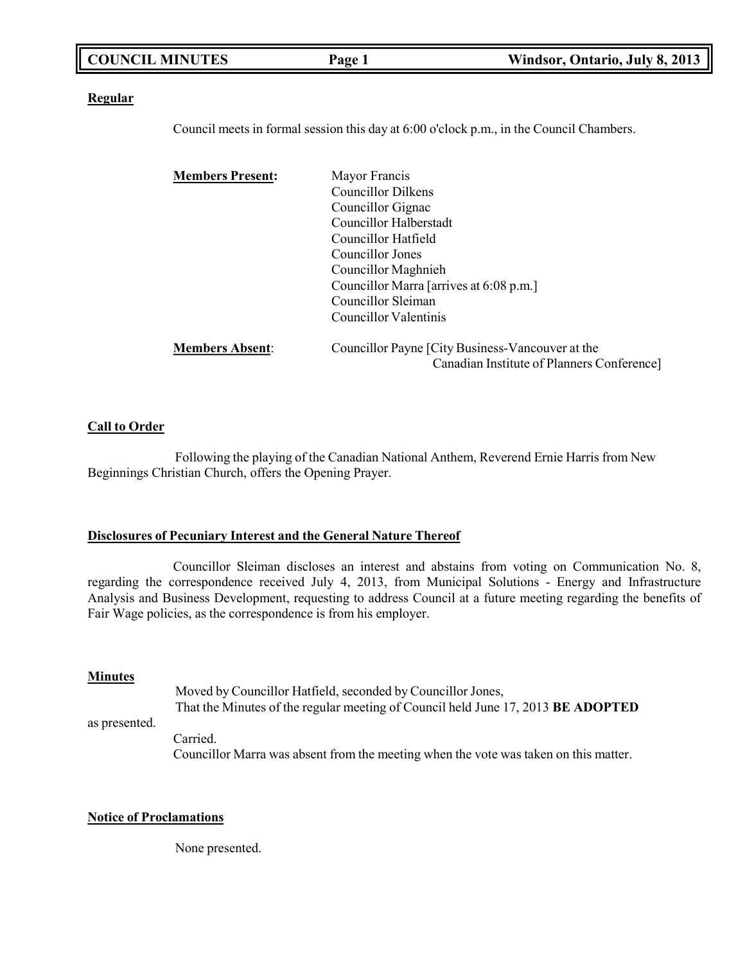| <b>COUNCIL MINUTES</b> | Page 1 | Windsor, Ontario, July 8, 2013 |
|------------------------|--------|--------------------------------|
|                        |        |                                |

#### **Regular**

Council meets in formal session this day at 6:00 o'clock p.m., in the Council Chambers.

| <b>Members Present:</b> | Mayor Francis                                    |
|-------------------------|--------------------------------------------------|
|                         | Councillor Dilkens                               |
|                         | Councillor Gignac                                |
|                         | Councillor Halberstadt                           |
|                         | Councillor Hatfield                              |
|                         | Councillor Jones                                 |
|                         | Councillor Maghnieh                              |
|                         | Councillor Marra [arrives at 6:08 p.m.]          |
|                         | Councillor Sleiman                               |
|                         | Councillor Valentinis                            |
| <b>Members Absent:</b>  | Councillor Payne [City Business-Vancouver at the |
|                         | Canadian Institute of Planners Conference]       |

### **Call to Order**

Following the playing of the Canadian National Anthem, Reverend Ernie Harris from New Beginnings Christian Church, offers the Opening Prayer.

### **Disclosures of Pecuniary Interest and the General Nature Thereof**

Councillor Sleiman discloses an interest and abstains from voting on Communication No. 8, regarding the correspondence received July 4, 2013, from Municipal Solutions - Energy and Infrastructure Analysis and Business Development, requesting to address Council at a future meeting regarding the benefits of Fair Wage policies, as the correspondence is from his employer.

#### **Minutes**

as presented. Moved by Councillor Hatfield, seconded by Councillor Jones, That the Minutes of the regular meeting of Council held June 17, 2013 **BE ADOPTED** Carried. Councillor Marra was absent from the meeting when the vote was taken on this matter.

### **Notice of Proclamations**

None presented.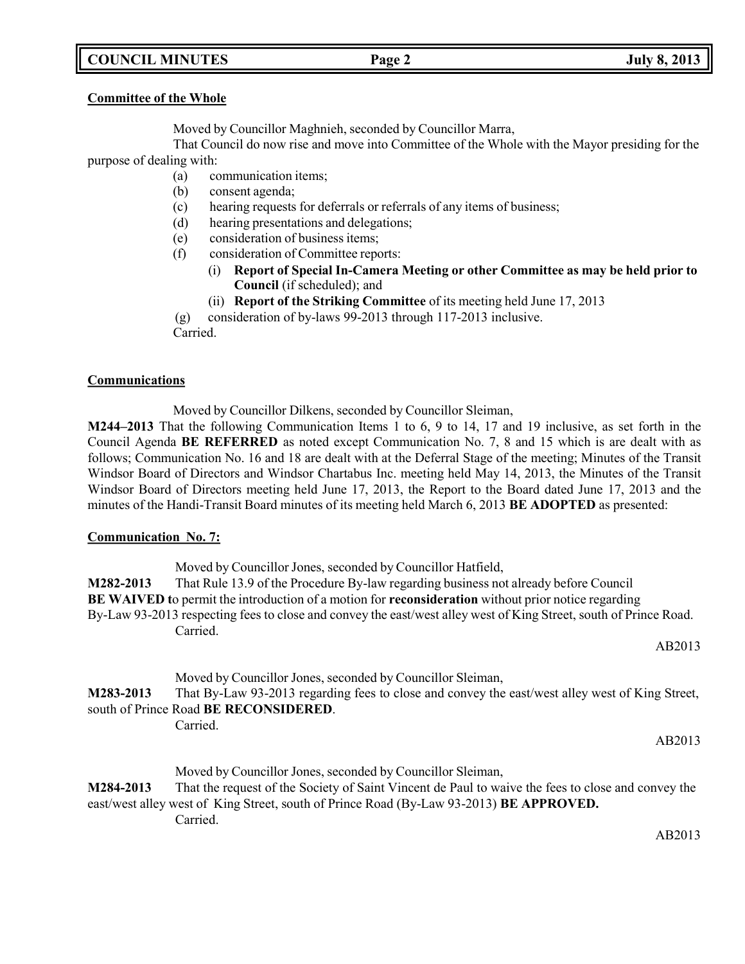# **COUNCIL MINUTES Page 2 July 8, 2013**

### **Committee of the Whole**

Moved by Councillor Maghnieh, seconded by Councillor Marra,

That Council do now rise and move into Committee of the Whole with the Mayor presiding for the purpose of dealing with:

- (a) communication items;
- (b) consent agenda;
- (c) hearing requests for deferrals or referrals of any items of business;
- (d) hearing presentations and delegations;
- (e) consideration of business items;
- (f) consideration of Committee reports:
	- (i) **Report of Special In-Camera Meeting or other Committee as may be held prior to Council** (if scheduled); and
	- (ii) **Report of the Striking Committee** of its meeting held June 17, 2013

(g) consideration of by-laws 99-2013 through 117-2013 inclusive.

Carried.

### **Communications**

Moved by Councillor Dilkens, seconded by Councillor Sleiman,

**M244–2013** That the following Communication Items 1 to 6, 9 to 14, 17 and 19 inclusive, as set forth in the Council Agenda **BE REFERRED** as noted except Communication No. 7, 8 and 15 which is are dealt with as follows; Communication No. 16 and 18 are dealt with at the Deferral Stage of the meeting; Minutes of the Transit Windsor Board of Directors and Windsor Chartabus Inc. meeting held May 14, 2013, the Minutes of the Transit Windsor Board of Directors meeting held June 17, 2013, the Report to the Board dated June 17, 2013 and the minutes of the Handi-Transit Board minutes of its meeting held March 6, 2013 **BE ADOPTED** as presented:

### **Communication No. 7:**

| M282-2013 | Moved by Councillor Jones, seconded by Councillor Hatfield,<br>That Rule 13.9 of the Procedure By-law regarding business not already before Council<br><b>BE WAIVED</b> to permit the introduction of a motion for <b>reconsideration</b> without prior notice regarding<br>By-Law 93-2013 respecting fees to close and convey the east/west alley west of King Street, south of Prince Road.<br>Carried. |
|-----------|-----------------------------------------------------------------------------------------------------------------------------------------------------------------------------------------------------------------------------------------------------------------------------------------------------------------------------------------------------------------------------------------------------------|
|           | AB2013                                                                                                                                                                                                                                                                                                                                                                                                    |
| M283-2013 | Moved by Councillor Jones, seconded by Councillor Sleiman,<br>That By-Law 93-2013 regarding fees to close and convey the east/west alley west of King Street,<br>south of Prince Road BE RECONSIDERED.                                                                                                                                                                                                    |
|           | Carried.<br>AB2013                                                                                                                                                                                                                                                                                                                                                                                        |

Moved by Councillor Jones, seconded by Councillor Sleiman, **M284-2013** That the request of the Society of Saint Vincent de Paul to waive the fees to close and convey the east/west alley west of King Street, south of Prince Road (By-Law 93-2013) **BE APPROVED.** Carried.

AB2013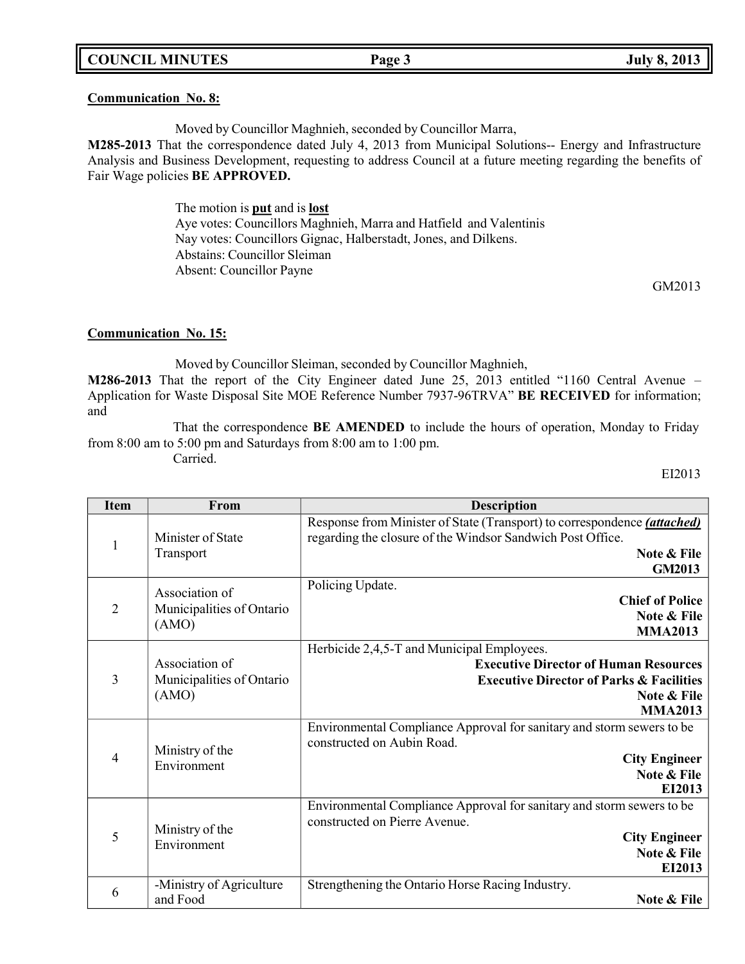### **COUNCIL MINUTES Page 3 July 8, 2013**

#### **Communication No. 8:**

Moved by Councillor Maghnieh, seconded by Councillor Marra,

**M285-2013** That the correspondence dated July 4, 2013 from Municipal Solutions- Energy and Infrastructure Analysis and Business Development, requesting to address Council at a future meeting regarding the benefits of Fair Wage policies **BE APPROVED.**

> The motion is **put** and is **lost** Aye votes: Councillors Maghnieh, Marra and Hatfield and Valentinis Nay votes: Councillors Gignac, Halberstadt, Jones, and Dilkens. Abstains: Councillor Sleiman Absent: Councillor Payne

> > GM2013

### **Communication No. 15:**

Moved by Councillor Sleiman, seconded by Councillor Maghnieh, **M286-2013** That the report of the City Engineer dated June 25, 2013 entitled "1160 Central Avenue – Application for Waste Disposal Site MOE Reference Number 7937-96TRVA" **BE RECEIVED** for information; and

That the correspondence **BE AMENDED** to include the hours of operation, Monday to Friday from 8:00 am to 5:00 pm and Saturdays from 8:00 am to 1:00 pm. Carried.

EI2013

| <b>Item</b>    | From                                                 | <b>Description</b>                                                                                                                                                                 |
|----------------|------------------------------------------------------|------------------------------------------------------------------------------------------------------------------------------------------------------------------------------------|
| $\mathbf{1}$   | Minister of State<br>Transport                       | Response from Minister of State (Transport) to correspondence <i>(attached)</i><br>regarding the closure of the Windsor Sandwich Post Office.<br>Note & File<br><b>GM2013</b>      |
| $\overline{2}$ | Association of<br>Municipalities of Ontario<br>(AMO) | Policing Update.<br><b>Chief of Police</b><br>Note & File<br><b>MMA2013</b>                                                                                                        |
| 3              | Association of<br>Municipalities of Ontario<br>(AMO) | Herbicide 2,4,5-T and Municipal Employees.<br><b>Executive Director of Human Resources</b><br><b>Executive Director of Parks &amp; Facilities</b><br>Note & File<br><b>MMA2013</b> |
| 4              | Ministry of the<br>Environment                       | Environmental Compliance Approval for sanitary and storm sewers to be<br>constructed on Aubin Road.<br><b>City Engineer</b><br>Note & File<br>EI2013                               |
| 5              | Ministry of the<br>Environment                       | Environmental Compliance Approval for sanitary and storm sewers to be<br>constructed on Pierre Avenue.<br><b>City Engineer</b><br>Note & File<br>EI2013                            |
| 6              | -Ministry of Agriculture<br>and Food                 | Strengthening the Ontario Horse Racing Industry.<br>Note & File                                                                                                                    |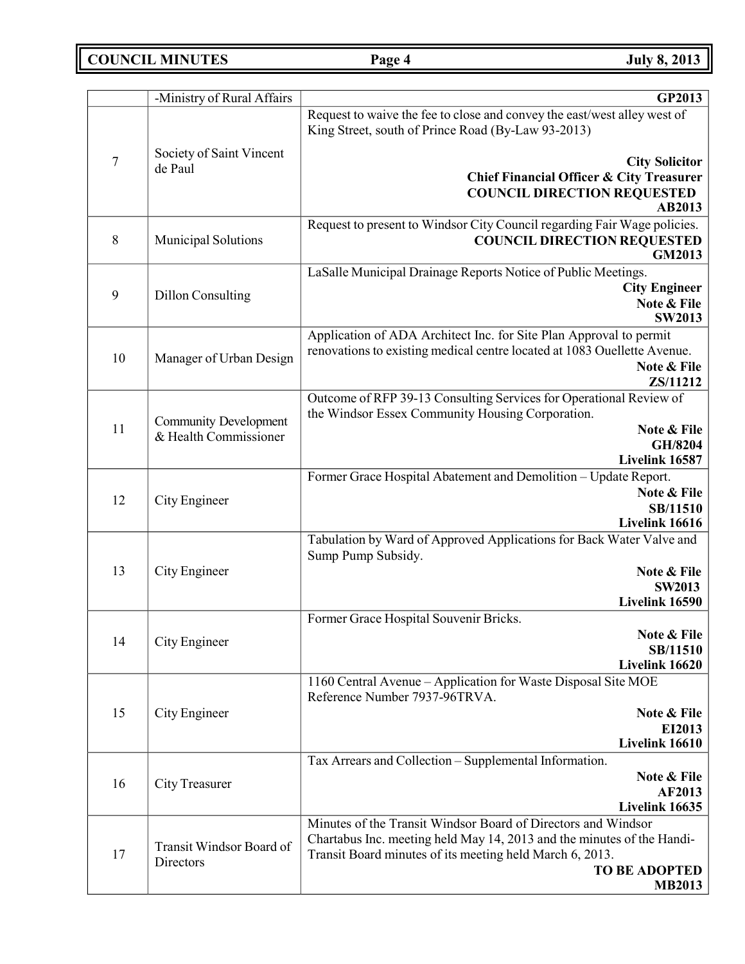# **COUNCIL MINUTES Page 4 July 8, 2013**

|    | -Ministry of Rural Affairs            | GP2013                                                                                                                         |
|----|---------------------------------------|--------------------------------------------------------------------------------------------------------------------------------|
|    |                                       | Request to waive the fee to close and convey the east/west alley west of<br>King Street, south of Prince Road (By-Law 93-2013) |
| 7  | Society of Saint Vincent              | <b>City Solicitor</b>                                                                                                          |
|    | de Paul                               | <b>Chief Financial Officer &amp; City Treasurer</b>                                                                            |
|    |                                       | <b>COUNCIL DIRECTION REQUESTED</b>                                                                                             |
|    |                                       | AB2013                                                                                                                         |
|    |                                       | Request to present to Windsor City Council regarding Fair Wage policies.                                                       |
| 8  | Municipal Solutions                   | <b>COUNCIL DIRECTION REQUESTED</b><br><b>GM2013</b>                                                                            |
|    |                                       | LaSalle Municipal Drainage Reports Notice of Public Meetings.                                                                  |
| 9  | <b>Dillon Consulting</b>              | <b>City Engineer</b>                                                                                                           |
|    |                                       | Note & File<br><b>SW2013</b>                                                                                                   |
|    |                                       | Application of ADA Architect Inc. for Site Plan Approval to permit                                                             |
|    |                                       | renovations to existing medical centre located at 1083 Ouellette Avenue.                                                       |
| 10 | Manager of Urban Design               | Note & File                                                                                                                    |
|    |                                       | ZS/11212                                                                                                                       |
|    |                                       | Outcome of RFP 39-13 Consulting Services for Operational Review of                                                             |
|    | <b>Community Development</b>          | the Windsor Essex Community Housing Corporation.                                                                               |
| 11 | & Health Commissioner                 | Note & File                                                                                                                    |
|    |                                       | GH/8204<br>Livelink 16587                                                                                                      |
|    |                                       | Former Grace Hospital Abatement and Demolition - Update Report.                                                                |
|    |                                       | Note & File                                                                                                                    |
| 12 | City Engineer                         | SB/11510                                                                                                                       |
|    |                                       | Livelink 16616                                                                                                                 |
|    |                                       | Tabulation by Ward of Approved Applications for Back Water Valve and<br>Sump Pump Subsidy.                                     |
| 13 | City Engineer                         | Note & File                                                                                                                    |
|    |                                       | <b>SW2013</b>                                                                                                                  |
|    |                                       | Livelink 16590                                                                                                                 |
|    |                                       | Former Grace Hospital Souvenir Bricks.<br>Note & File                                                                          |
| 14 | City Engineer                         | SB/11510                                                                                                                       |
|    |                                       | Livelink 16620                                                                                                                 |
|    |                                       | 1160 Central Avenue - Application for Waste Disposal Site MOE<br>Reference Number 7937-96TRVA.                                 |
| 15 | City Engineer                         | Note & File                                                                                                                    |
|    |                                       | EI2013                                                                                                                         |
|    |                                       | Livelink 16610                                                                                                                 |
|    |                                       | Tax Arrears and Collection - Supplemental Information.                                                                         |
| 16 | City Treasurer                        | Note & File                                                                                                                    |
|    |                                       | AF2013<br>Livelink 16635                                                                                                       |
|    |                                       | Minutes of the Transit Windsor Board of Directors and Windsor                                                                  |
| 17 |                                       | Chartabus Inc. meeting held May 14, 2013 and the minutes of the Handi-                                                         |
|    | Transit Windsor Board of<br>Directors | Transit Board minutes of its meeting held March 6, 2013.                                                                       |
|    |                                       | <b>TO BE ADOPTED</b><br><b>MB2013</b>                                                                                          |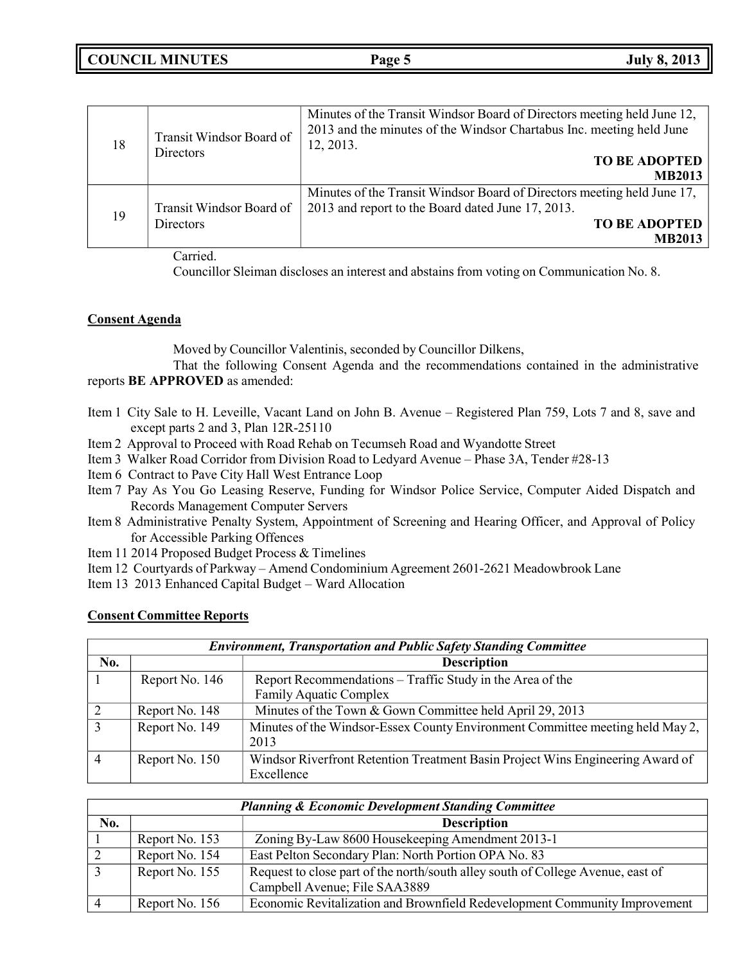| 18 | Transit Windsor Board of<br>Directors        | Minutes of the Transit Windsor Board of Directors meeting held June 12,<br>2013 and the minutes of the Windsor Chartabus Inc. meeting held June<br>12, 2013.<br><b>TO BE ADOPTED</b><br><b>MB2013</b> |
|----|----------------------------------------------|-------------------------------------------------------------------------------------------------------------------------------------------------------------------------------------------------------|
| 19 | Transit Windsor Board of<br><b>Directors</b> | Minutes of the Transit Windsor Board of Directors meeting held June 17,<br>2013 and report to the Board dated June 17, 2013.<br><b>TO BE ADOPTED</b><br><b>MB2013</b>                                 |

Carried.

Councillor Sleiman discloses an interest and abstains from voting on Communication No. 8.

## **Consent Agenda**

Moved by Councillor Valentinis, seconded by Councillor Dilkens,

That the following Consent Agenda and the recommendations contained in the administrative reports **BE APPROVED** as amended:

- Item 1 City Sale to H. Leveille, Vacant Land on John B. Avenue Registered Plan 759, Lots 7 and 8, save and except parts 2 and 3, Plan 12R-25110
- Item 2 Approval to Proceed with Road Rehab on Tecumseh Road and Wyandotte Street
- Item 3 Walker Road Corridor from Division Road to Ledyard Avenue Phase 3A, Tender #28-13
- Item 6 Contract to Pave City Hall West Entrance Loop
- Item 7 Pay As You Go Leasing Reserve, Funding for Windsor Police Service, Computer Aided Dispatch and Records Management Computer Servers
- Item 8 Administrative Penalty System, Appointment of Screening and Hearing Officer, and Approval of Policy for Accessible Parking Offences
- Item 11 2014 Proposed Budget Process & Timelines
- Item 12 Courtyards of Parkway Amend Condominium Agreement 2601-2621 Meadowbrook Lane
- Item 13 2013 Enhanced Capital Budget Ward Allocation

### **Consent Committee Reports**

|     | <b>Environment, Transportation and Public Safety Standing Committee</b> |                                                                                              |  |  |  |  |  |
|-----|-------------------------------------------------------------------------|----------------------------------------------------------------------------------------------|--|--|--|--|--|
| No. |                                                                         | <b>Description</b>                                                                           |  |  |  |  |  |
|     | Report No. 146                                                          | Report Recommendations - Traffic Study in the Area of the                                    |  |  |  |  |  |
|     |                                                                         | <b>Family Aquatic Complex</b>                                                                |  |  |  |  |  |
|     | Report No. 148                                                          | Minutes of the Town & Gown Committee held April 29, 2013                                     |  |  |  |  |  |
|     | Report No. 149                                                          | Minutes of the Windsor-Essex County Environment Committee meeting held May 2,<br>2013        |  |  |  |  |  |
|     | Report No. 150                                                          | Windsor Riverfront Retention Treatment Basin Project Wins Engineering Award of<br>Excellence |  |  |  |  |  |

|     | <b>Planning &amp; Economic Development Standing Committee</b> |                                                                                                                  |  |  |  |  |
|-----|---------------------------------------------------------------|------------------------------------------------------------------------------------------------------------------|--|--|--|--|
| No. |                                                               | <b>Description</b>                                                                                               |  |  |  |  |
|     | Report No. 153                                                | Zoning By-Law 8600 Housekeeping Amendment 2013-1                                                                 |  |  |  |  |
|     | Report No. 154                                                | East Pelton Secondary Plan: North Portion OPA No. 83                                                             |  |  |  |  |
|     | Report No. 155                                                | Request to close part of the north/south alley south of College Avenue, east of<br>Campbell Avenue; File SAA3889 |  |  |  |  |
|     | Report No. 156                                                | Economic Revitalization and Brownfield Redevelopment Community Improvement                                       |  |  |  |  |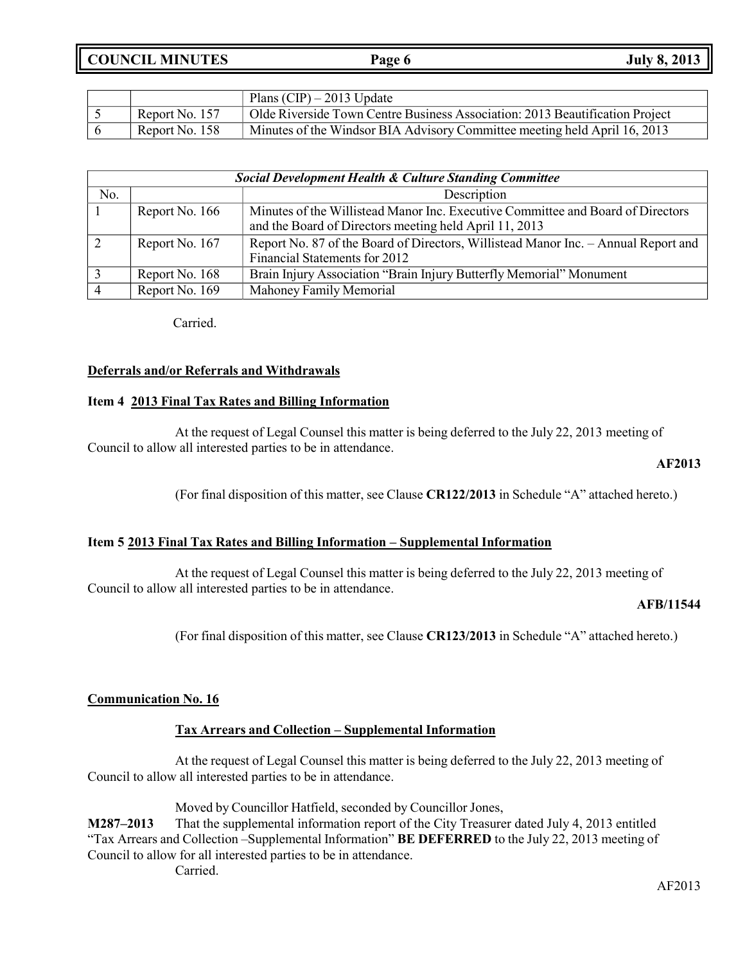**COUNCIL MINUTES Page 6 July 8, 2013**

|                | Plans $(CIP) - 2013$ Update                                                  |
|----------------|------------------------------------------------------------------------------|
| Report No. 157 | Olde Riverside Town Centre Business Association: 2013 Beautification Project |
| Report No. 158 | Minutes of the Windsor BIA Advisory Committee meeting held April 16, 2013    |

| <b>Social Development Health &amp; Culture Standing Committee</b> |                |                                                                                                                     |  |  |  |
|-------------------------------------------------------------------|----------------|---------------------------------------------------------------------------------------------------------------------|--|--|--|
| No.                                                               |                | Description                                                                                                         |  |  |  |
|                                                                   | Report No. 166 | Minutes of the Willistead Manor Inc. Executive Committee and Board of Directors                                     |  |  |  |
|                                                                   |                | and the Board of Directors meeting held April 11, 2013                                                              |  |  |  |
|                                                                   | Report No. 167 | Report No. 87 of the Board of Directors, Willistead Manor Inc. – Annual Report and<br>Financial Statements for 2012 |  |  |  |
|                                                                   | Report No. 168 | Brain Injury Association "Brain Injury Butterfly Memorial" Monument                                                 |  |  |  |
|                                                                   | Report No. 169 | Mahoney Family Memorial                                                                                             |  |  |  |

Carried.

### **Deferrals and/or Referrals and Withdrawals**

### **Item 4 2013 Final Tax Rates and Billing Information**

At the request of Legal Counsel this matter is being deferred to the July 22, 2013 meeting of Council to allow all interested parties to be in attendance.

#### **AF2013**

(For final disposition of this matter, see Clause **CR122/2013** in Schedule "A" attached hereto.)

### **Item 5 2013 Final Tax Rates and Billing Information – Supplemental Information**

At the request of Legal Counsel this matter is being deferred to the July 22, 2013 meeting of Council to allow all interested parties to be in attendance.

#### **AFB/11544**

(For final disposition of this matter, see Clause **CR123/2013** in Schedule "A" attached hereto.)

### **Communication No. 16**

### **Tax Arrears and Collection – Supplemental Information**

At the request of Legal Counsel this matter is being deferred to the July 22, 2013 meeting of Council to allow all interested parties to be in attendance.

Moved by Councillor Hatfield, seconded by Councillor Jones,

**M287–2013** That the supplemental information report of the City Treasurer dated July 4, 2013 entitled "Tax Arrears and Collection –Supplemental Information" **BE DEFERRED** to the July 22, 2013 meeting of Council to allow for all interested parties to be in attendance.

Carried.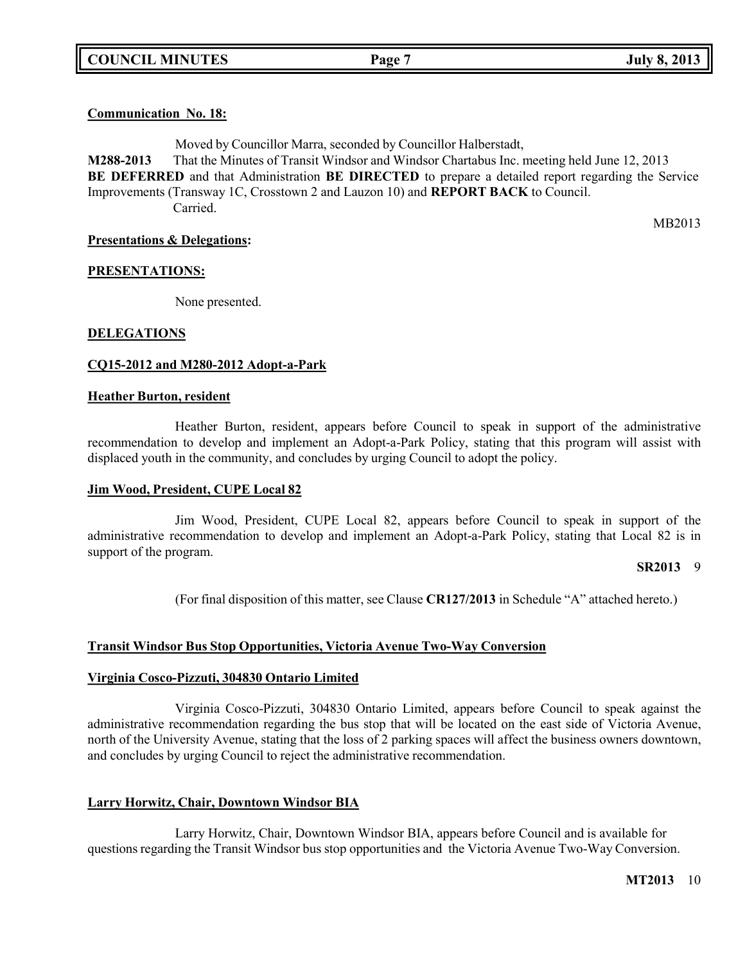## **Communication No. 18:**

Moved by Councillor Marra, seconded by Councillor Halberstadt, **M288-2013** That the Minutes of Transit Windsor and Windsor Chartabus Inc. meeting held June 12, 2013 **BE DEFERRED** and that Administration **BE DIRECTED** to prepare a detailed report regarding the Service Improvements (Transway 1C, Crosstown 2 and Lauzon 10) and **REPORT BACK** to Council. Carried.

**Presentations & Delegations:**

MB2013

## **PRESENTATIONS:**

None presented.

### **DELEGATIONS**

### **CQ15-2012 and M280-2012 Adopt-a-Park**

#### **Heather Burton, resident**

Heather Burton, resident, appears before Council to speak in support of the administrative recommendation to develop and implement an Adopt-a-Park Policy, stating that this program will assist with displaced youth in the community, and concludes by urging Council to adopt the policy.

#### **Jim Wood, President, CUPE Local 82**

Jim Wood, President, CUPE Local 82, appears before Council to speak in support of the administrative recommendation to develop and implement an Adopt-a-Park Policy, stating that Local 82 is in support of the program.

#### **SR2013** 9

(For final disposition of this matter, see Clause **CR127/2013** in Schedule "A" attached hereto.)

### **Transit Windsor Bus Stop Opportunities, Victoria Avenue Two-Way Conversion**

#### **Virginia Cosco-Pizzuti, 304830 Ontario Limited**

Virginia Cosco-Pizzuti, 304830 Ontario Limited, appears before Council to speak against the administrative recommendation regarding the bus stop that will be located on the east side of Victoria Avenue, north of the University Avenue, stating that the loss of 2 parking spaces will affect the business owners downtown, and concludes by urging Council to reject the administrative recommendation.

### **Larry Horwitz, Chair, Downtown Windsor BIA**

Larry Horwitz, Chair, Downtown Windsor BIA, appears before Council and is available for questions regarding the Transit Windsor bus stop opportunities and the Victoria Avenue Two-Way Conversion.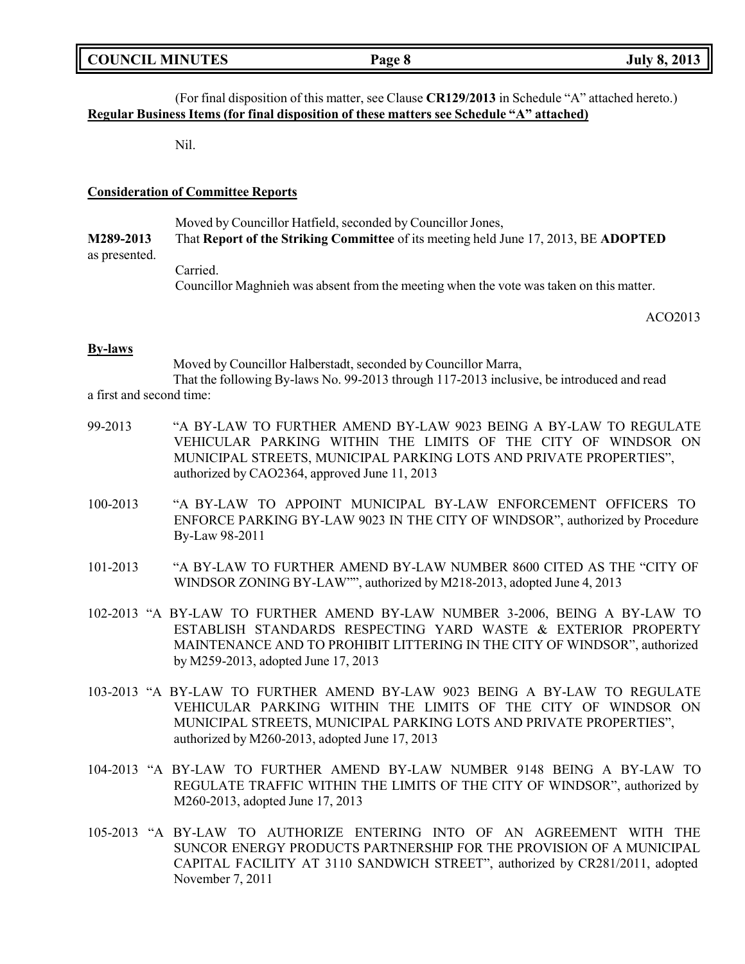|  | <b>COUNCIL MINUTES</b> |
|--|------------------------|
|--|------------------------|

## (For final disposition of this matter, see Clause **CR129/2013** in Schedule "A" attached hereto.) **Regular Business Items (for final disposition of these matters see Schedule "A" attached)**

Nil.

### **Consideration of Committee Reports**

Moved by Councillor Hatfield, seconded by Councillor Jones, **M289-2013** That **Report of the Striking Committee** of its meeting held June 17, 2013, BE **ADOPTED** as presented. Carried.

Councillor Maghnieh was absent from the meeting when the vote was taken on this matter.

ACO2013

### **By-laws**

Moved by Councillor Halberstadt, seconded by Councillor Marra, That the following By-laws No. 99-2013 through 117-2013 inclusive, be introduced and read a first and second time:

- 99-2013 "A BY-LAW TO FURTHER AMEND BY-LAW 9023 BEING A BY-LAW TO REGULATE VEHICULAR PARKING WITHIN THE LIMITS OF THE CITY OF WINDSOR ON MUNICIPAL STREETS, MUNICIPAL PARKING LOTS AND PRIVATE PROPERTIES", authorized by CAO2364, approved June 11, 2013
- 100-2013 "A BY-LAW TO APPOINT MUNICIPAL BY-LAW ENFORCEMENT OFFICERS TO ENFORCE PARKING BY-LAW 9023 IN THE CITY OF WINDSOR", authorized by Procedure By-Law 98-2011
- 101-2013 "A BY-LAW TO FURTHER AMEND BY-LAW NUMBER 8600 CITED AS THE "CITY OF WINDSOR ZONING BY-LAW"", authorized by M218-2013, adopted June 4, 2013
- 102-2013 "A BY-LAW TO FURTHER AMEND BY-LAW NUMBER 3-2006, BEING A BY-LAW TO ESTABLISH STANDARDS RESPECTING YARD WASTE & EXTERIOR PROPERTY MAINTENANCE AND TO PROHIBIT LITTERING IN THE CITY OF WINDSOR", authorized by M259-2013, adopted June 17, 2013
- 103-2013 "A BY-LAW TO FURTHER AMEND BY-LAW 9023 BEING A BY-LAW TO REGULATE VEHICULAR PARKING WITHIN THE LIMITS OF THE CITY OF WINDSOR ON MUNICIPAL STREETS, MUNICIPAL PARKING LOTS AND PRIVATE PROPERTIES", authorized by M260-2013, adopted June 17, 2013
- 104-2013 "A BY-LAW TO FURTHER AMEND BY-LAW NUMBER 9148 BEING A BY-LAW TO REGULATE TRAFFIC WITHIN THE LIMITS OF THE CITY OF WINDSOR", authorized by M260-2013, adopted June 17, 2013
- 105-2013 "A BY-LAW TO AUTHORIZE ENTERING INTO OF AN AGREEMENT WITH THE SUNCOR ENERGY PRODUCTS PARTNERSHIP FOR THE PROVISION OF A MUNICIPAL CAPITAL FACILITY AT 3110 SANDWICH STREET", authorized by CR281/2011, adopted November 7, 2011

**COUNCIL EXECUTE: COUNCIL EXECUTE: Page 8 July 8, 2013**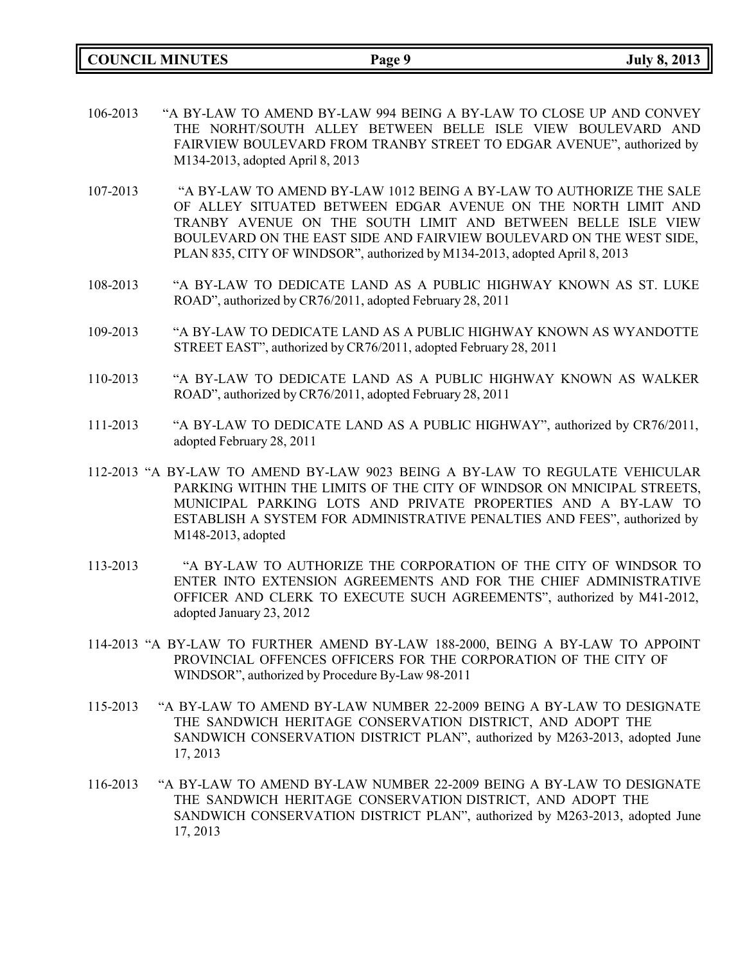**COUNCIL MINUTES Page 9 July 8, 2013**

- 106-2013 "A BY-LAW TO AMEND BY-LAW 994 BEING A BY-LAW TO CLOSE UP AND CONVEY THE NORHT/SOUTH ALLEY BETWEEN BELLE ISLE VIEW BOULEVARD AND FAIRVIEW BOULEVARD FROM TRANBY STREET TO EDGAR AVENUE", authorized by M134-2013, adopted April 8, 2013
- 107-2013 "A BY-LAW TO AMEND BY-LAW 1012 BEING A BY-LAW TO AUTHORIZE THE SALE OF ALLEY SITUATED BETWEEN EDGAR AVENUE ON THE NORTH LIMIT AND TRANBY AVENUE ON THE SOUTH LIMIT AND BETWEEN BELLE ISLE VIEW BOULEVARD ON THE EAST SIDE AND FAIRVIEW BOULEVARD ON THE WEST SIDE, PLAN 835, CITY OF WINDSOR", authorized by M134-2013, adopted April 8, 2013
- 108-2013 "A BY-LAW TO DEDICATE LAND AS A PUBLIC HIGHWAY KNOWN AS ST. LUKE ROAD", authorized by CR76/2011, adopted February 28, 2011
- 109-2013 "A BY-LAW TO DEDICATE LAND AS A PUBLIC HIGHWAY KNOWN AS WYANDOTTE STREET EAST", authorized by CR76/2011, adopted February 28, 2011
- 110-2013 "A BY-LAW TO DEDICATE LAND AS A PUBLIC HIGHWAY KNOWN AS WALKER ROAD", authorized by CR76/2011, adopted February 28, 2011
- 111-2013 "A BY-LAW TO DEDICATE LAND AS A PUBLIC HIGHWAY", authorized by CR76/2011, adopted February 28, 2011
- 112-2013 "A BY-LAW TO AMEND BY-LAW 9023 BEING A BY-LAW TO REGULATE VEHICULAR PARKING WITHIN THE LIMITS OF THE CITY OF WINDSOR ON MNICIPAL STREETS, MUNICIPAL PARKING LOTS AND PRIVATE PROPERTIES AND A BY-LAW TO ESTABLISH A SYSTEM FOR ADMINISTRATIVE PENALTIES AND FEES", authorized by M148-2013, adopted
- 113-2013 "A BY-LAW TO AUTHORIZE THE CORPORATION OF THE CITY OF WINDSOR TO ENTER INTO EXTENSION AGREEMENTS AND FOR THE CHIEF ADMINISTRATIVE OFFICER AND CLERK TO EXECUTE SUCH AGREEMENTS", authorized by M41-2012, adopted January 23, 2012
- 114-2013 "A BY-LAW TO FURTHER AMEND BY-LAW 188-2000, BEING A BY-LAW TO APPOINT PROVINCIAL OFFENCES OFFICERS FOR THE CORPORATION OF THE CITY OF WINDSOR", authorized by Procedure By-Law 98-2011
- 115-2013 "A BY-LAW TO AMEND BY-LAW NUMBER 22-2009 BEING A BY-LAW TO DESIGNATE THE SANDWICH HERITAGE CONSERVATION DISTRICT, AND ADOPT THE SANDWICH CONSERVATION DISTRICT PLAN", authorized by M263-2013, adopted June 17, 2013
- 116-2013 "A BY-LAW TO AMEND BY-LAW NUMBER 22-2009 BEING A BY-LAW TO DESIGNATE THE SANDWICH HERITAGE CONSERVATION DISTRICT, AND ADOPT THE SANDWICH CONSERVATION DISTRICT PLAN", authorized by M263-2013, adopted June 17, 2013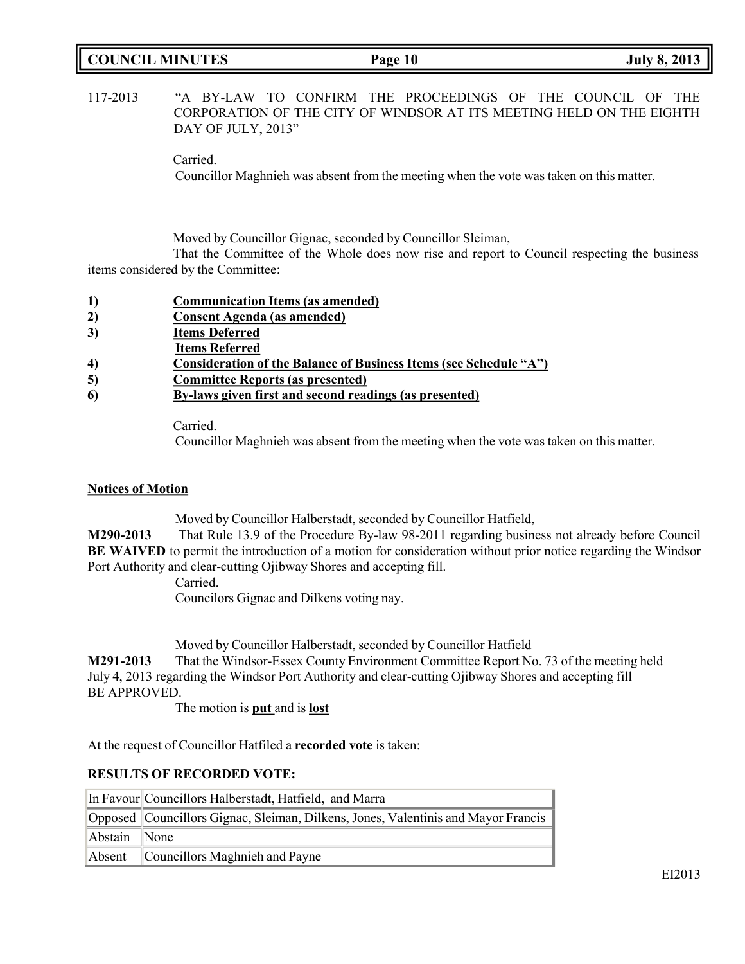# **COUNCIL MINUTES Page 10 July 8, 2013**

| 117-2013 |                      |  | "A BY-LAW TO CONFIRM THE PROCEEDINGS OF THE COUNCIL OF THE           |  |  |  |
|----------|----------------------|--|----------------------------------------------------------------------|--|--|--|
|          |                      |  | CORPORATION OF THE CITY OF WINDSOR AT ITS MEETING HELD ON THE EIGHTH |  |  |  |
|          | DAY OF JULY, $2013"$ |  |                                                                      |  |  |  |

Carried.

Councillor Maghnieh was absent from the meeting when the vote was taken on this matter.

Moved by Councillor Gignac, seconded by Councillor Sleiman,

That the Committee of the Whole does now rise and report to Council respecting the business items considered by the Committee:

- **1) Communication Items (as amended)**
- **2) Consent Agenda (as amended)**
- **3) Items Deferred**
- **Items Referred**
- **4) Consideration of the Balance of Business Items (see Schedule "A")**
- **5) Committee Reports (as presented)**
- **6) By-laws given first and second readings (as presented)**

Carried.

Councillor Maghnieh was absent from the meeting when the vote was taken on this matter.

### **Notices of Motion**

Moved by Councillor Halberstadt, seconded by Councillor Hatfield,

**M290-2013** That Rule 13.9 of the Procedure By-law 98-2011 regarding business not already before Council **BE WAIVED** to permit the introduction of a motion for consideration without prior notice regarding the Windsor Port Authority and clear-cutting Ojibway Shores and accepting fill.

Carried. Councilors Gignac and Dilkens voting nay.

Moved by Councillor Halberstadt, seconded by Councillor Hatfield

**M291-2013** That the Windsor-Essex County Environment Committee Report No. 73 of the meeting held July 4, 2013 regarding the Windsor Port Authority and clear-cutting Ojibway Shores and accepting fill BE APPROVED.

The motion is **put** and is **lost**

At the request of Councillor Hatfiled a **recorded vote** is taken:

### **RESULTS OF RECORDED VOTE:**

|              | In Favour Councillors Halberstadt, Hatfield, and Marra                            |  |
|--------------|-----------------------------------------------------------------------------------|--|
|              | Opposed Councillors Gignac, Sleiman, Dilkens, Jones, Valentinis and Mayor Francis |  |
| Abstain None |                                                                                   |  |
|              | Absent Councillors Maghnieh and Payne                                             |  |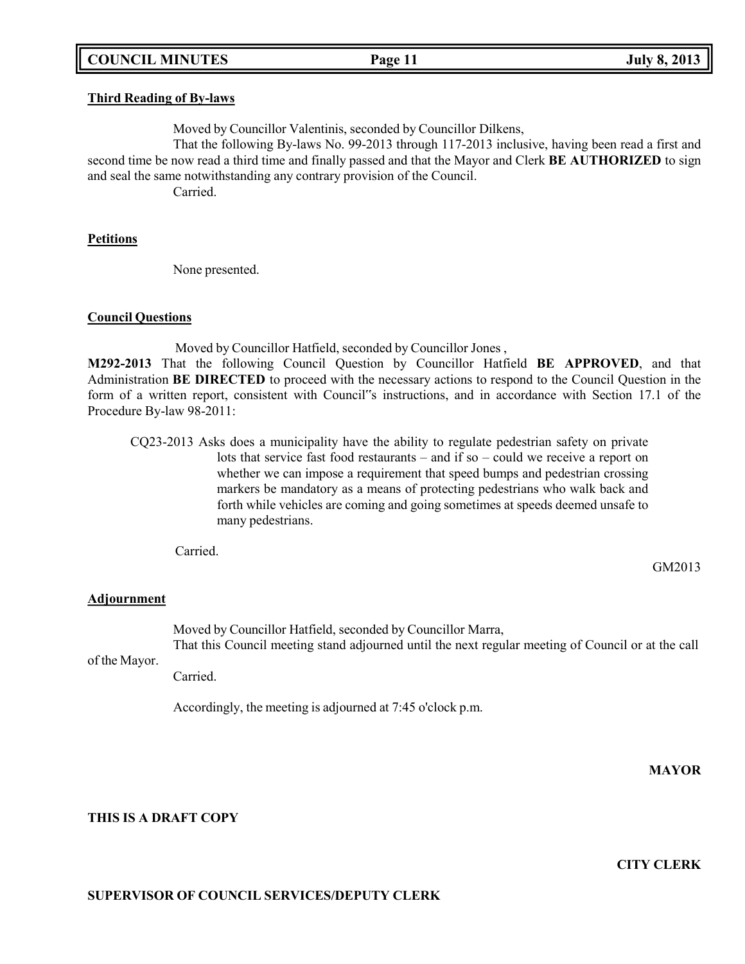### **COUNCIL MINUTES Page 11 July 8, 2013**

#### **Third Reading of By-laws**

Moved by Councillor Valentinis, seconded by Councillor Dilkens,

That the following By-laws No. 99-2013 through 117-2013 inclusive, having been read a first and second time be now read a third time and finally passed and that the Mayor and Clerk **BE AUTHORIZED** to sign and seal the same notwithstanding any contrary provision of the Council.

Carried.

#### **Petitions**

None presented.

#### **Council Questions**

Moved by Councillor Hatfield, seconded by Councillor Jones ,

**M292-2013** That the following Council Question by Councillor Hatfield **BE APPROVED**, and that Administration **BE DIRECTED** to proceed with the necessary actions to respond to the Council Question in the form of a written report, consistent with Council"s instructions, and in accordance with Section 17.1 of the Procedure By-law 98-2011:

CQ23-2013 Asks does a municipality have the ability to regulate pedestrian safety on private lots that service fast food restaurants – and if so – could we receive a report on whether we can impose a requirement that speed bumps and pedestrian crossing markers be mandatory as a means of protecting pedestrians who walk back and forth while vehicles are coming and going sometimes at speeds deemed unsafe to many pedestrians.

Carried.

### **Adjournment**

of the Mayor. Moved by Councillor Hatfield, seconded by Councillor Marra, That this Council meeting stand adjourned until the next regular meeting of Council or at the call

Carried.

**THIS IS A DRAFT COPY**

Accordingly, the meeting is adjourned at 7:45 o'clock p.m.

**CITY CLERK**

**MAYOR**

### **SUPERVISOR OF COUNCIL SERVICES/DEPUTY CLERK**

GM2013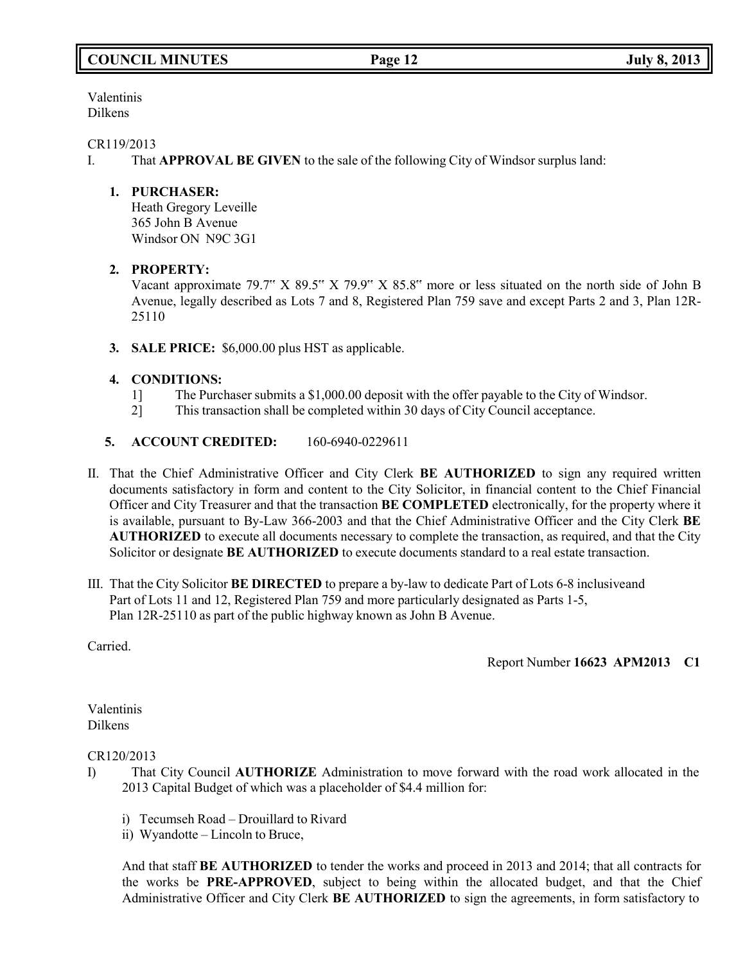Valentinis Dilkens

### CR119/2013

I. That **APPROVAL BE GIVEN** to the sale of the following City of Windsor surplus land:

## **1. PURCHASER:**

Heath Gregory Leveille 365 John B Avenue Windsor ON N9C 3G1

# **2. PROPERTY:**

Vacant approximate 79.7" X 89.5" X 79.9" X 85.8" more or less situated on the north side of John B Avenue, legally described as Lots 7 and 8, Registered Plan 759 save and except Parts 2 and 3, Plan 12R-25110

**3. SALE PRICE:** \$6,000.00 plus HST as applicable.

# **4. CONDITIONS:**

- 1] The Purchaser submits a \$1,000.00 deposit with the offer payable to the City of Windsor.
- 2] This transaction shall be completed within 30 days of City Council acceptance.
- **5. ACCOUNT CREDITED:** 160-6940-0229611
- II. That the Chief Administrative Officer and City Clerk **BE AUTHORIZED** to sign any required written documents satisfactory in form and content to the City Solicitor, in financial content to the Chief Financial Officer and City Treasurer and that the transaction **BE COMPLETED** electronically, for the property where it is available, pursuant to By-Law 366-2003 and that the Chief Administrative Officer and the City Clerk **BE AUTHORIZED** to execute all documents necessary to complete the transaction, as required, and that the City Solicitor or designate **BE AUTHORIZED** to execute documents standard to a real estate transaction.
- III. That the City Solicitor **BE DIRECTED** to prepare a by-law to dedicate Part of Lots 6-8 inclusiveand Part of Lots 11 and 12, Registered Plan 759 and more particularly designated as Parts 1-5, Plan 12R-25110 as part of the public highway known as John B Avenue.

Carried.

Report Number **16623 APM2013 C1**

Valentinis Dilkens

### CR120/2013

- I) That City Council **AUTHORIZE** Administration to move forward with the road work allocated in the 2013 Capital Budget of which was a placeholder of \$4.4 million for:
	- i) Tecumseh Road Drouillard to Rivard
	- ii) Wyandotte Lincoln to Bruce,

And that staff **BE AUTHORIZED** to tender the works and proceed in 2013 and 2014; that all contracts for the works be **PRE-APPROVED**, subject to being within the allocated budget, and that the Chief Administrative Officer and City Clerk **BE AUTHORIZED** to sign the agreements, in form satisfactory to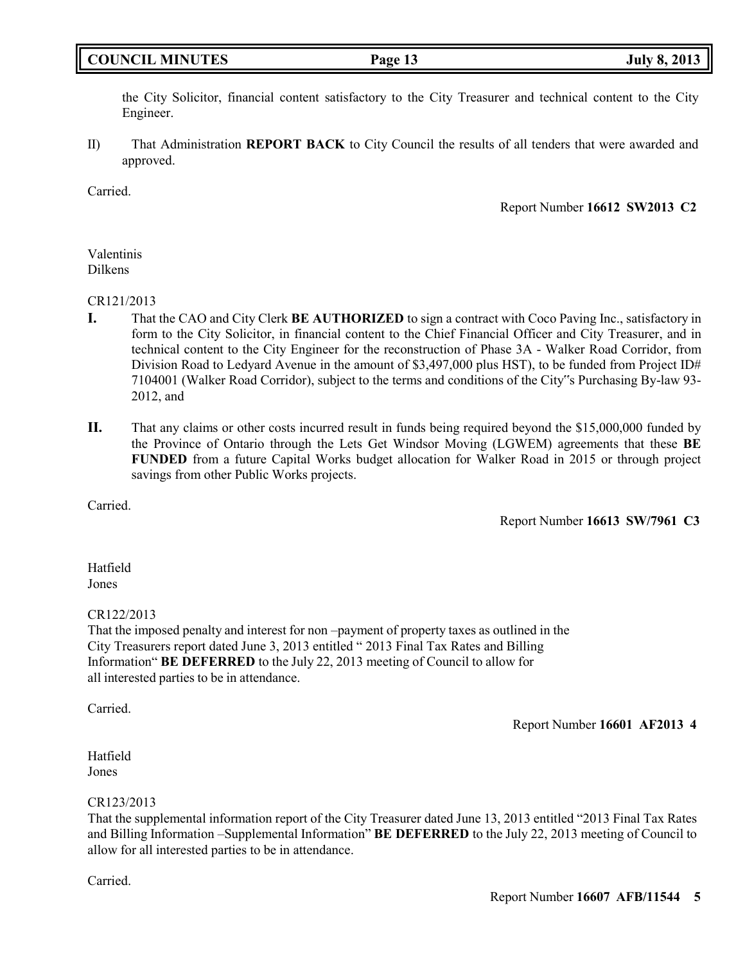# **COUNCIL MINUTES Page 13 July 8, 2013**

the City Solicitor, financial content satisfactory to the City Treasurer and technical content to the City Engineer.

II) That Administration **REPORT BACK** to City Council the results of all tenders that were awarded and approved.

Carried.

Report Number **16612 SW2013 C2**

### Valentinis Dilkens

### CR121/2013

- **I.** That the CAO and City Clerk **BE AUTHORIZED** to sign a contract with Coco Paving Inc., satisfactory in form to the City Solicitor, in financial content to the Chief Financial Officer and City Treasurer, and in technical content to the City Engineer for the reconstruction of Phase 3A - Walker Road Corridor, from Division Road to Ledyard Avenue in the amount of \$3,497,000 plus HST), to be funded from Project ID# 7104001 (Walker Road Corridor), subject to the terms and conditions of the City"s Purchasing By-law 93- 2012, and
- **II.** That any claims or other costs incurred result in funds being required beyond the \$15,000,000 funded by the Province of Ontario through the Lets Get Windsor Moving (LGWEM) agreements that these **BE FUNDED** from a future Capital Works budget allocation for Walker Road in 2015 or through project savings from other Public Works projects.

Carried.

Report Number **16613 SW/7961 C3**

Hatfield Jones

### CR122/2013

That the imposed penalty and interest for non –payment of property taxes as outlined in the City Treasurers report dated June 3, 2013 entitled " 2013 Final Tax Rates and Billing Information" **BE DEFERRED** to the July 22, 2013 meeting of Council to allow for all interested parties to be in attendance.

Carried.

Report Number **16601 AF2013 4**

Hatfield Jones

### CR123/2013

That the supplemental information report of the City Treasurer dated June 13, 2013 entitled "2013 Final Tax Rates and Billing Information –Supplemental Information" **BE DEFERRED** to the July 22, 2013 meeting of Council to allow for all interested parties to be in attendance.

Carried.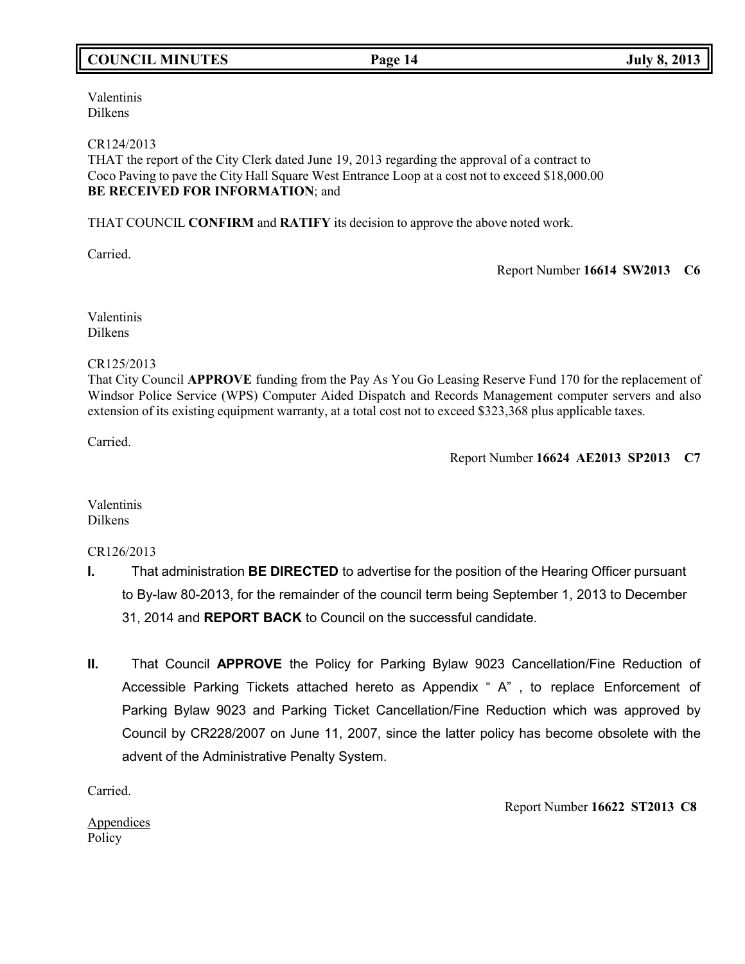# **COUNCIL MINUTES Page 14 July 8, 2013**

Valentinis Dilkens

#### CR124/2013

THAT the report of the City Clerk dated June 19, 2013 regarding the approval of a contract to Coco Paving to pave the City Hall Square West Entrance Loop at a cost not to exceed \$18,000.00 **BE RECEIVED FOR INFORMATION**; and

THAT COUNCIL **CONFIRM** and **RATIFY** its decision to approve the above noted work.

Carried.

Report Number **16614 SW2013 C6**

Valentinis Dilkens

### CR125/2013

That City Council **APPROVE** funding from the Pay As You Go Leasing Reserve Fund 170 for the replacement of Windsor Police Service (WPS) Computer Aided Dispatch and Records Management computer servers and also extension of its existing equipment warranty, at a total cost not to exceed \$323,368 plus applicable taxes.

Carried.

Report Number **16624 AE2013 SP2013 C7**

Valentinis Dilkens

CR126/2013

- **I.** That administration **BE DIRECTED** to advertise for the position of the Hearing Officer pursuant to By-law 80-2013, for the remainder of the council term being September 1, 2013 to December 31, 2014 and **REPORT BACK** to Council on the successful candidate.
- **II.** That Council **APPROVE** the Policy for Parking Bylaw 9023 Cancellation/Fine Reduction of Accessible Parking Tickets attached hereto as Appendix " A" , to replace Enforcement of Parking Bylaw 9023 and Parking Ticket Cancellation/Fine Reduction which was approved by Council by CR228/2007 on June 11, 2007, since the latter policy has become obsolete with the advent of the Administrative Penalty System.

Carried.

**Appendices** Policy

Report Number **16622 ST2013 C8**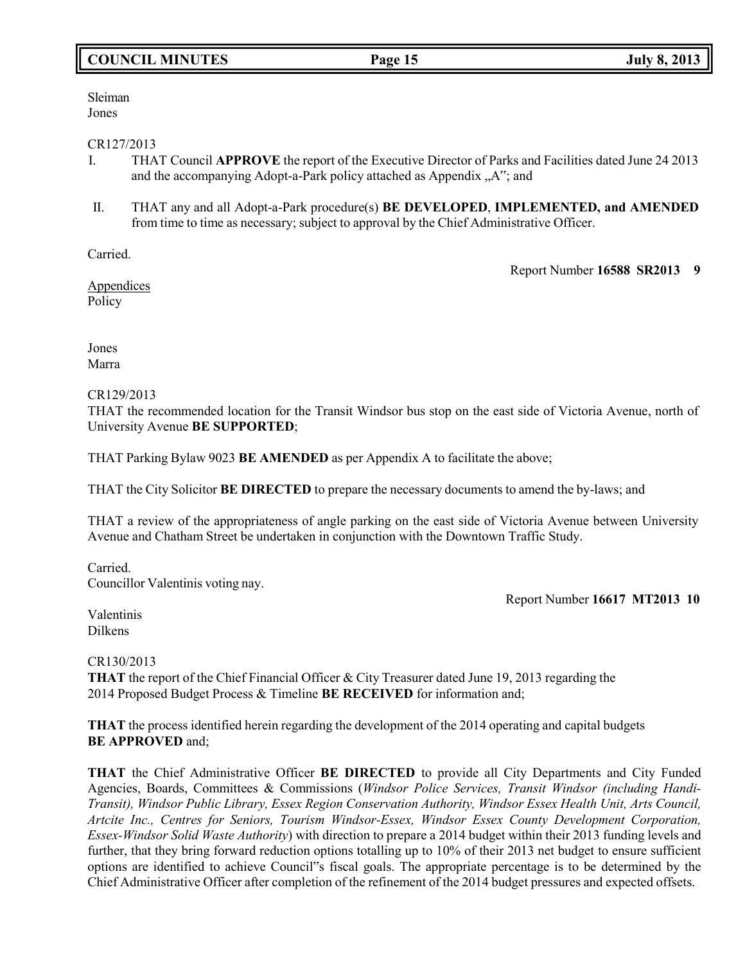# **COUNCIL MINUTES Page 15 July 8, 2013**

Sleiman Jones

### CR127/2013

- I. THAT Council **APPROVE** the report of the Executive Director of Parks and Facilities dated June 24 2013 and the accompanying Adopt-a-Park policy attached as Appendix "A"; and
- II. THAT any and all Adopt-a-Park procedure(s) **BE DEVELOPED**, **IMPLEMENTED, and AMENDED** from time to time as necessary; subject to approval by the Chief Administrative Officer.

Carried.

Report Number **16588 SR2013 9**

**Appendices** Policy

Jones Marra

### CR129/2013

THAT the recommended location for the Transit Windsor bus stop on the east side of Victoria Avenue, north of University Avenue **BE SUPPORTED**;

THAT Parking Bylaw 9023 **BE AMENDED** as per Appendix A to facilitate the above;

THAT the City Solicitor **BE DIRECTED** to prepare the necessary documents to amend the by-laws; and

THAT a review of the appropriateness of angle parking on the east side of Victoria Avenue between University Avenue and Chatham Street be undertaken in conjunction with the Downtown Traffic Study.

Carried. Councillor Valentinis voting nay.

Report Number **16617 MT2013 10**

Valentinis Dilkens

### CR130/2013

**THAT** the report of the Chief Financial Officer & City Treasurer dated June 19, 2013 regarding the 2014 Proposed Budget Process & Timeline **BE RECEIVED** for information and;

**THAT** the process identified herein regarding the development of the 2014 operating and capital budgets **BE APPROVED** and;

**THAT** the Chief Administrative Officer **BE DIRECTED** to provide all City Departments and City Funded Agencies, Boards, Committees & Commissions (*Windsor Police Services, Transit Windsor (including Handi-Transit), Windsor Public Library, Essex Region Conservation Authority, Windsor Essex Health Unit, Arts Council, Artcite Inc., Centres for Seniors, Tourism Windsor-Essex, Windsor Essex County Development Corporation, Essex-Windsor Solid Waste Authority*) with direction to prepare a 2014 budget within their 2013 funding levels and further, that they bring forward reduction options totalling up to 10% of their 2013 net budget to ensure sufficient options are identified to achieve Council"s fiscal goals. The appropriate percentage is to be determined by the Chief Administrative Officer after completion of the refinement of the 2014 budget pressures and expected offsets.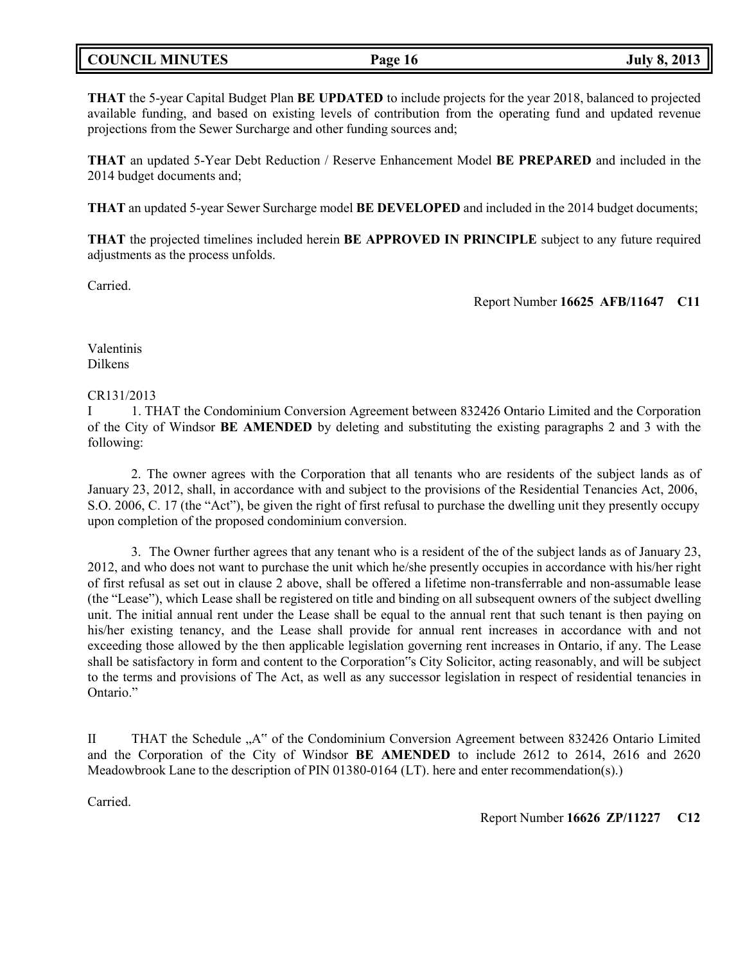# **COUNCIL MINUTES Page 16 July 8, 2013**

**THAT** the 5-year Capital Budget Plan **BE UPDATED** to include projects for the year 2018, balanced to projected available funding, and based on existing levels of contribution from the operating fund and updated revenue projections from the Sewer Surcharge and other funding sources and;

**THAT** an updated 5-Year Debt Reduction / Reserve Enhancement Model **BE PREPARED** and included in the 2014 budget documents and;

**THAT** an updated 5-year Sewer Surcharge model **BE DEVELOPED** and included in the 2014 budget documents;

**THAT** the projected timelines included herein **BE APPROVED IN PRINCIPLE** subject to any future required adjustments as the process unfolds.

Carried.

Report Number **16625 AFB/11647 C11**

Valentinis Dilkens

### CR131/2013

I 1. THAT the Condominium Conversion Agreement between 832426 Ontario Limited and the Corporation of the City of Windsor **BE AMENDED** by deleting and substituting the existing paragraphs 2 and 3 with the following:

2. The owner agrees with the Corporation that all tenants who are residents of the subject lands as of January 23, 2012, shall, in accordance with and subject to the provisions of the Residential Tenancies Act, 2006, S.O. 2006, C. 17 (the "Act"), be given the right of first refusal to purchase the dwelling unit they presently occupy upon completion of the proposed condominium conversion.

3. The Owner further agrees that any tenant who is a resident of the of the subject lands as of January 23, 2012, and who does not want to purchase the unit which he/she presently occupies in accordance with his/her right of first refusal as set out in clause 2 above, shall be offered a lifetime non-transferrable and non-assumable lease (the "Lease"), which Lease shall be registered on title and binding on all subsequent owners of the subject dwelling unit. The initial annual rent under the Lease shall be equal to the annual rent that such tenant is then paying on his/her existing tenancy, and the Lease shall provide for annual rent increases in accordance with and not exceeding those allowed by the then applicable legislation governing rent increases in Ontario, if any. The Lease shall be satisfactory in form and content to the Corporation"s City Solicitor, acting reasonably, and will be subject to the terms and provisions of The Act, as well as any successor legislation in respect of residential tenancies in Ontario."

II THAT the Schedule "A" of the Condominium Conversion Agreement between 832426 Ontario Limited and the Corporation of the City of Windsor **BE AMENDED** to include 2612 to 2614, 2616 and 2620 Meadowbrook Lane to the description of PIN 01380-0164 (LT). here and enter recommendation(s).)

Carried.

Report Number **16626 ZP/11227 C12**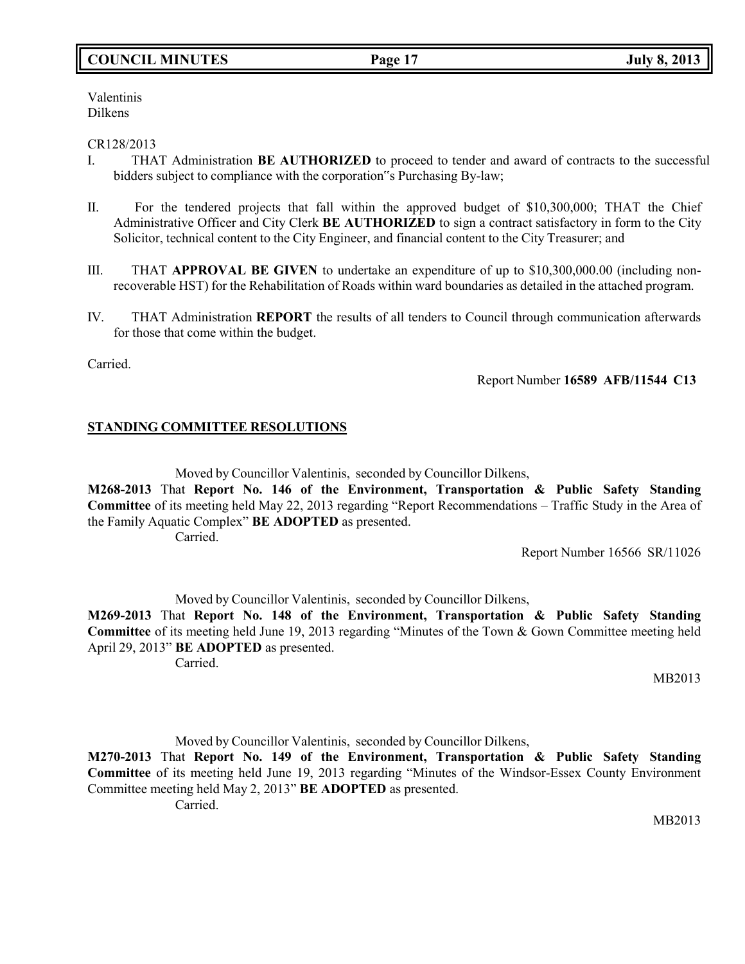# **COUNCIL MINUTES Page 17 July 8, 2013**

Valentinis Dilkens

### CR128/2013

- I. THAT Administration **BE AUTHORIZED** to proceed to tender and award of contracts to the successful bidders subject to compliance with the corporation"s Purchasing By-law;
- II. For the tendered projects that fall within the approved budget of \$10,300,000; THAT the Chief Administrative Officer and City Clerk **BE AUTHORIZED** to sign a contract satisfactory in form to the City Solicitor, technical content to the City Engineer, and financial content to the City Treasurer; and
- III. THAT **APPROVAL BE GIVEN** to undertake an expenditure of up to \$10,300,000.00 (including nonrecoverable HST) for the Rehabilitation of Roads within ward boundaries as detailed in the attached program.
- IV. THAT Administration **REPORT** the results of all tenders to Council through communication afterwards for those that come within the budget.

Carried.

Report Number **16589 AFB/11544 C13**

## **STANDING COMMITTEE RESOLUTIONS**

Moved by Councillor Valentinis, seconded by Councillor Dilkens,

**M268-2013** That **Report No. 146 of the Environment, Transportation & Public Safety Standing Committee** of its meeting held May 22, 2013 regarding "Report Recommendations – Traffic Study in the Area of the Family Aquatic Complex" **BE ADOPTED** as presented. Carried.

Report Number 16566 SR/11026

Moved by Councillor Valentinis, seconded by Councillor Dilkens, **M269-2013** That **Report No. 148 of the Environment, Transportation & Public Safety Standing Committee** of its meeting held June 19, 2013 regarding "Minutes of the Town & Gown Committee meeting held April 29, 2013" **BE ADOPTED** as presented. Carried.

MB2013

Moved by Councillor Valentinis, seconded by Councillor Dilkens, **M270-2013** That **Report No. 149 of the Environment, Transportation & Public Safety Standing Committee** of its meeting held June 19, 2013 regarding "Minutes of the Windsor-Essex County Environment Committee meeting held May 2, 2013" **BE ADOPTED** as presented. Carried.

MB2013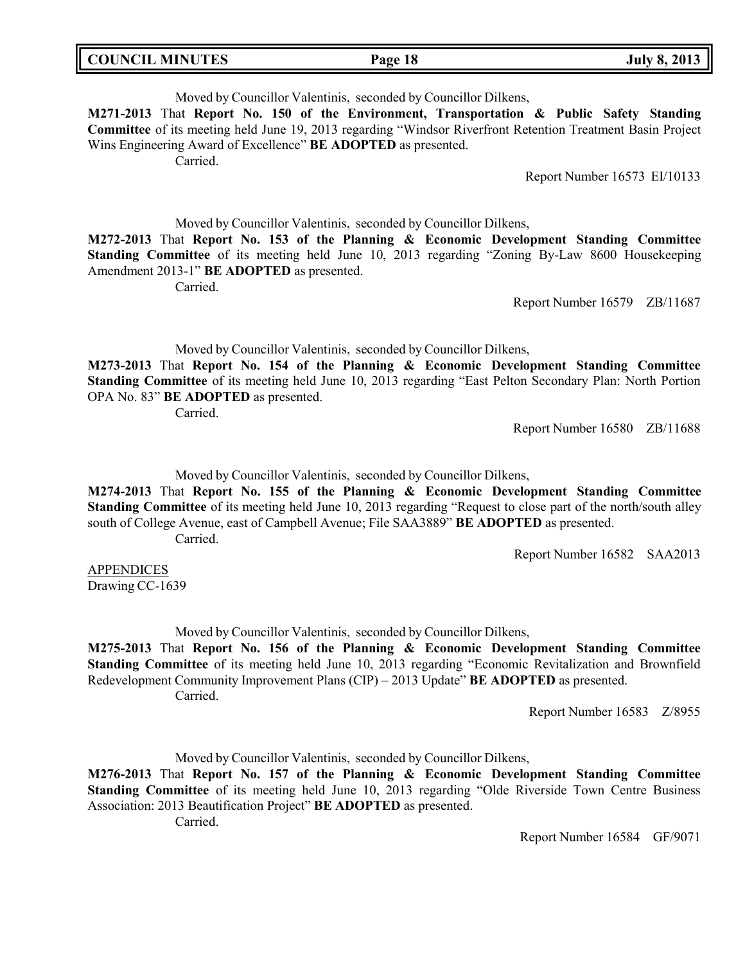| <b>COUNCIL MINUTES</b><br>Page 18 | <b>July 8, 2013</b> |
|-----------------------------------|---------------------|
|-----------------------------------|---------------------|

Moved by Councillor Valentinis, seconded by Councillor Dilkens, **M271-2013** That **Report No. 150 of the Environment, Transportation & Public Safety Standing Committee** of its meeting held June 19, 2013 regarding "Windsor Riverfront Retention Treatment Basin Project Wins Engineering Award of Excellence" **BE ADOPTED** as presented. Carried.

Report Number 16573 EI/10133

Moved by Councillor Valentinis, seconded by Councillor Dilkens,

**M272-2013** That **Report No. 153 of the Planning & Economic Development Standing Committee Standing Committee** of its meeting held June 10, 2013 regarding "Zoning By-Law 8600 Housekeeping Amendment 2013-1" **BE ADOPTED** as presented.

Carried.

Report Number 16579 ZB/11687

Moved by Councillor Valentinis, seconded by Councillor Dilkens,

**M273-2013** That **Report No. 154 of the Planning & Economic Development Standing Committee Standing Committee** of its meeting held June 10, 2013 regarding "East Pelton Secondary Plan: North Portion OPA No. 83" **BE ADOPTED** as presented.

Carried.

Report Number 16580 ZB/11688

Moved by Councillor Valentinis, seconded by Councillor Dilkens,

**M274-2013** That **Report No. 155 of the Planning & Economic Development Standing Committee Standing Committee** of its meeting held June 10, 2013 regarding "Request to close part of the north/south alley south of College Avenue, east of Campbell Avenue; File SAA3889" **BE ADOPTED** as presented. Carried.

Report Number 16582 SAA2013

APPENDICES Drawing CC-1639

Moved by Councillor Valentinis, seconded by Councillor Dilkens,

**M275-2013** That **Report No. 156 of the Planning & Economic Development Standing Committee Standing Committee** of its meeting held June 10, 2013 regarding "Economic Revitalization and Brownfield Redevelopment Community Improvement Plans (CIP) – 2013 Update" **BE ADOPTED** as presented. Carried.

Report Number 16583 Z/8955

Moved by Councillor Valentinis, seconded by Councillor Dilkens,

**M276-2013** That **Report No. 157 of the Planning & Economic Development Standing Committee Standing Committee** of its meeting held June 10, 2013 regarding "Olde Riverside Town Centre Business Association: 2013 Beautification Project" **BE ADOPTED** as presented.

Carried.

Report Number 16584 GF/9071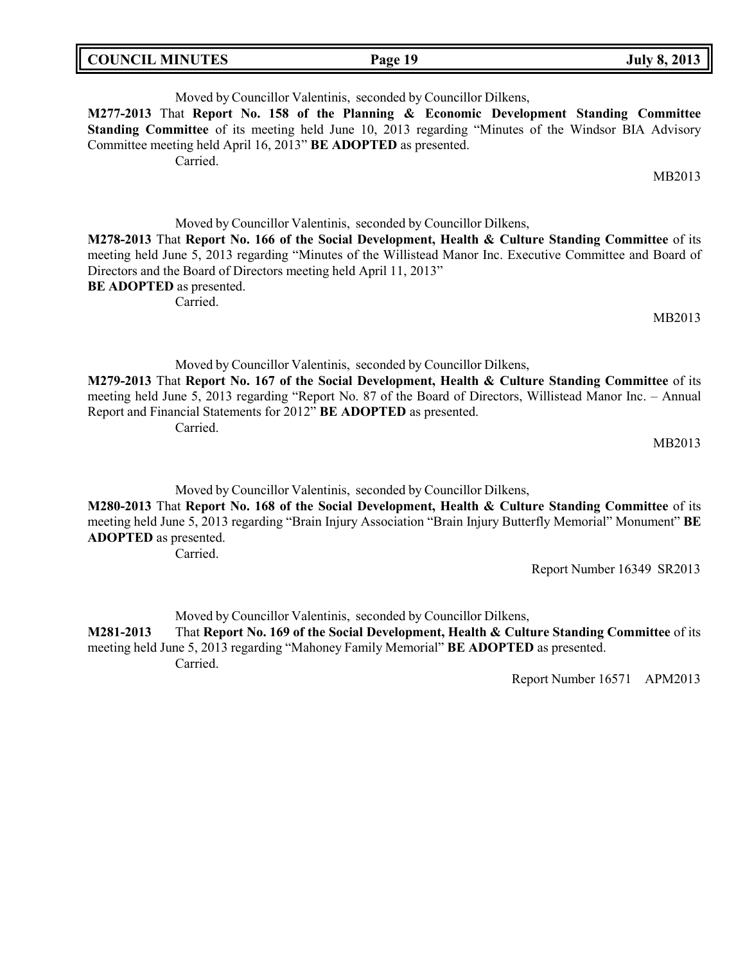| <b>COUNCIL MINUTES</b> | Page 19 | <b>July 8, 2013</b> |
|------------------------|---------|---------------------|
|                        |         |                     |

Moved by Councillor Valentinis, seconded by Councillor Dilkens, **M277-2013** That **Report No. 158 of the Planning & Economic Development Standing Committee Standing Committee** of its meeting held June 10, 2013 regarding "Minutes of the Windsor BIA Advisory Committee meeting held April 16, 2013" **BE ADOPTED** as presented. Carried.

MB2013

Moved by Councillor Valentinis, seconded by Councillor Dilkens, **M278-2013** That **Report No. 166 of the Social Development, Health & Culture Standing Committee** of its meeting held June 5, 2013 regarding "Minutes of the Willistead Manor Inc. Executive Committee and Board of Directors and the Board of Directors meeting held April 11, 2013" **BE ADOPTED** as presented. Carried.

MB2013

Moved by Councillor Valentinis, seconded by Councillor Dilkens,

**M279-2013** That **Report No. 167 of the Social Development, Health & Culture Standing Committee** of its meeting held June 5, 2013 regarding "Report No. 87 of the Board of Directors, Willistead Manor Inc. – Annual Report and Financial Statements for 2012" **BE ADOPTED** as presented. Carried.

MB2013

Moved by Councillor Valentinis, seconded by Councillor Dilkens,

**M280-2013** That **Report No. 168 of the Social Development, Health & Culture Standing Committee** of its meeting held June 5, 2013 regarding "Brain Injury Association "Brain Injury Butterfly Memorial" Monument" **BE ADOPTED** as presented.

Carried.

Report Number 16349 SR2013

Moved by Councillor Valentinis, seconded by Councillor Dilkens,

**M281-2013** That **Report No. 169 of the Social Development, Health & Culture Standing Committee** of its meeting held June 5, 2013 regarding "Mahoney Family Memorial" **BE ADOPTED** as presented. Carried.

Report Number 16571 APM2013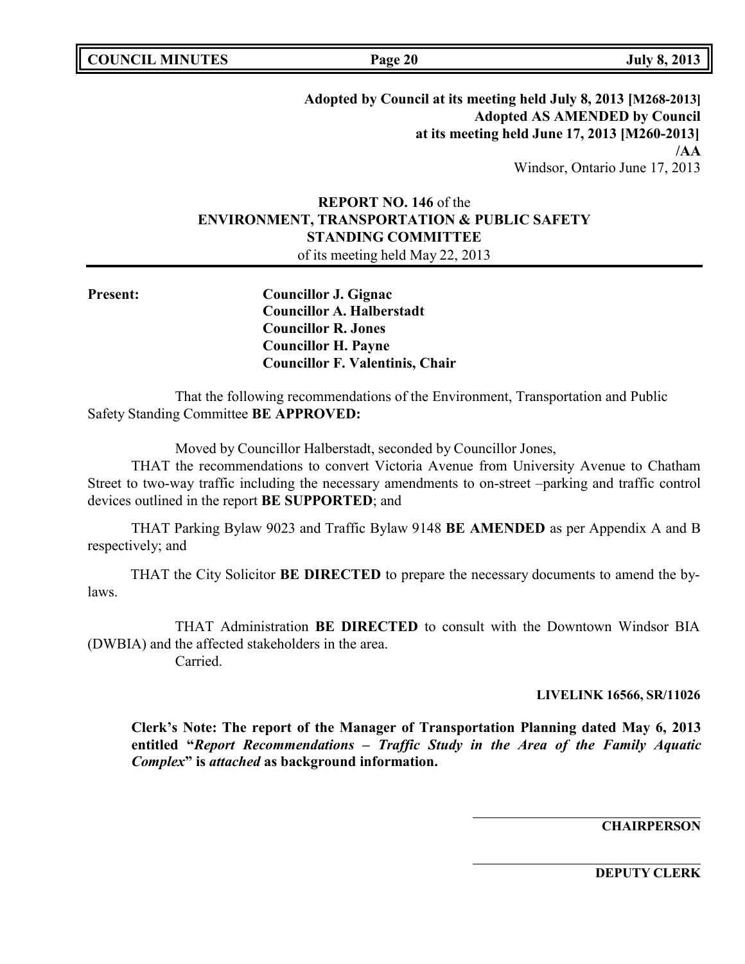| <b>COUNCIL MINUTES</b> |  |  |
|------------------------|--|--|
|------------------------|--|--|

**COUNCIL EXECUTE:** The **COUNCIL EXECUTE:** The **Page** 20 **July** 8, 2013

**Adopted by Council at its meeting held July 8, 2013 [M268-2013] Adopted AS AMENDED by Council at its meeting held June 17, 2013 [M260-2013] /AA** Windsor, Ontario June 17, 2013

# **REPORT NO. 146** of the **ENVIRONMENT, TRANSPORTATION & PUBLIC SAFETY STANDING COMMITTEE**

of its meeting held May 22, 2013

**Present: Councillor J. Gignac Councillor A. Halberstadt Councillor R. Jones Councillor H. Payne Councillor F. Valentinis, Chair**

That the following recommendations of the Environment, Transportation and Public Safety Standing Committee **BE APPROVED:**

Moved by Councillor Halberstadt, seconded by Councillor Jones,

THAT the recommendations to convert Victoria Avenue from University Avenue to Chatham Street to two-way traffic including the necessary amendments to on-street –parking and traffic control devices outlined in the report **BE SUPPORTED**; and

THAT Parking Bylaw 9023 and Traffic Bylaw 9148 **BE AMENDED** as per Appendix A and B respectively; and

THAT the City Solicitor **BE DIRECTED** to prepare the necessary documents to amend the bylaws.

THAT Administration **BE DIRECTED** to consult with the Downtown Windsor BIA (DWBIA) and the affected stakeholders in the area.

Carried.

#### **LIVELINK 16566, SR/11026**

**Clerk's Note: The report of the Manager of Transportation Planning dated May 6, 2013 entitled "***Report Recommendations – Traffic Study in the Area of the Family Aquatic Complex***" is** *attached* **as background information.**

**CHAIRPERSON**

**DEPUTY CLERK**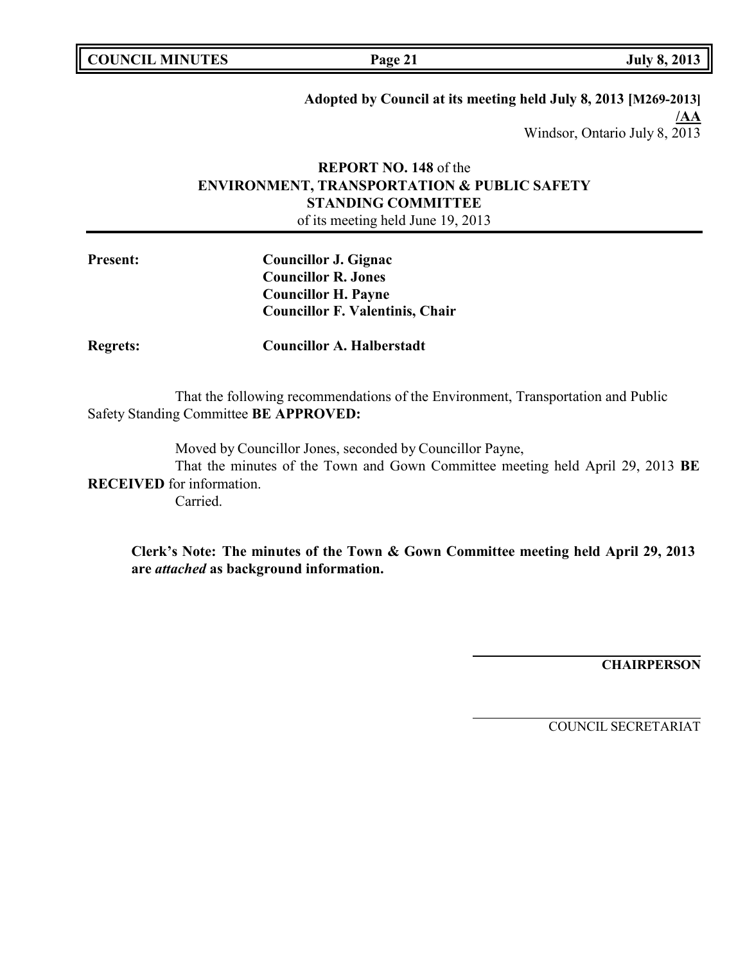|  | <b>COUNCIL MINUTES</b> |
|--|------------------------|
|--|------------------------|

**COUNCIL EXECUTE:** The **Page** 21 **Duly 8, 2013** 

# **Adopted by Council at its meeting held July 8, 2013 [M269-2013] /AA** Windsor, Ontario July 8, 2013

# **REPORT NO. 148** of the **ENVIRONMENT, TRANSPORTATION & PUBLIC SAFETY STANDING COMMITTEE** of its meeting held June 19, 2013

**Present: Councillor J. Gignac Councillor R. Jones Councillor H. Payne Councillor F. Valentinis, Chair**

**Regrets: Councillor A. Halberstadt**

That the following recommendations of the Environment, Transportation and Public Safety Standing Committee **BE APPROVED:**

Moved by Councillor Jones, seconded by Councillor Payne,

That the minutes of the Town and Gown Committee meeting held April 29, 2013 **BE RECEIVED** for information.

Carried.

**Clerk's Note: The minutes of the Town & Gown Committee meeting held April 29, 2013 are** *attached* **as background information.**

**CHAIRPERSON**

COUNCIL SECRETARIAT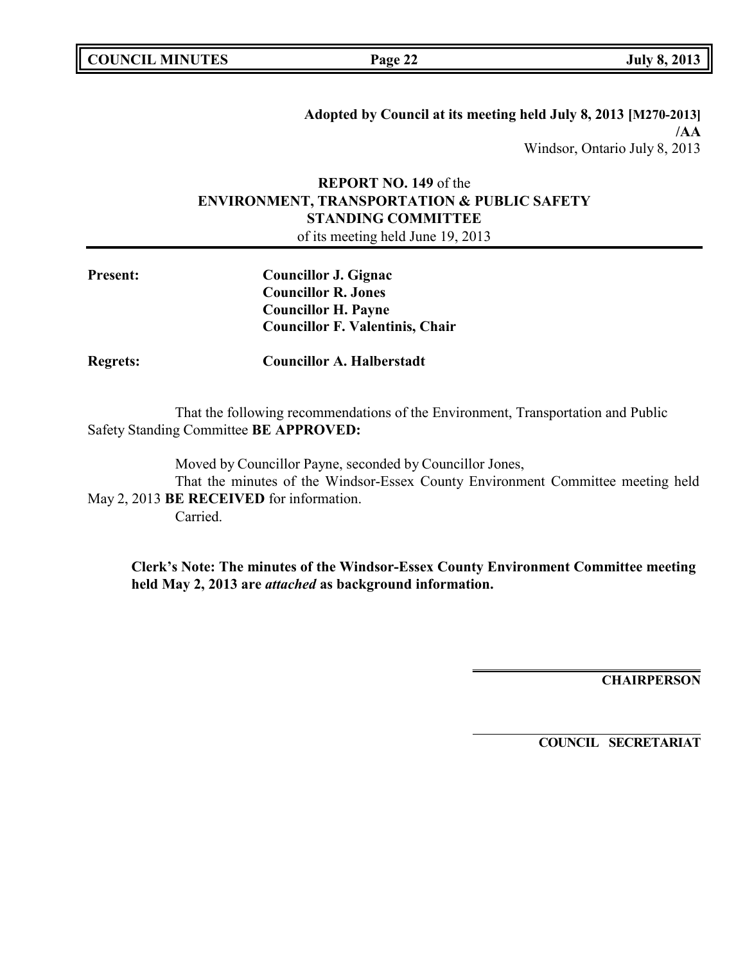**COUNCIL EXECUTE:** The **Page** 22 **July** 8, 2013

**Adopted by Council at its meeting held July 8, 2013 [M270-2013] /AA** Windsor, Ontario July 8, 2013

# **REPORT NO. 149** of the **ENVIRONMENT, TRANSPORTATION & PUBLIC SAFETY STANDING COMMITTEE**

of its meeting held June 19, 2013

| <b>Present:</b> | Councillor J. Gignac                   |
|-----------------|----------------------------------------|
|                 | <b>Councillor R. Jones</b>             |
|                 | <b>Councillor H. Payne</b>             |
|                 | <b>Councillor F. Valentinis, Chair</b> |
| <b>Regrets:</b> | <b>Councillor A. Halberstadt</b>       |

That the following recommendations of the Environment, Transportation and Public Safety Standing Committee **BE APPROVED:**

Moved by Councillor Payne, seconded by Councillor Jones, That the minutes of the Windsor-Essex County Environment Committee meeting held May 2, 2013 **BE RECEIVED** for information. Carried.

**Clerk's Note: The minutes of the Windsor-Essex County Environment Committee meeting held May 2, 2013 are** *attached* **as background information.**

**CHAIRPERSON**

**COUNCIL SECRETARIAT**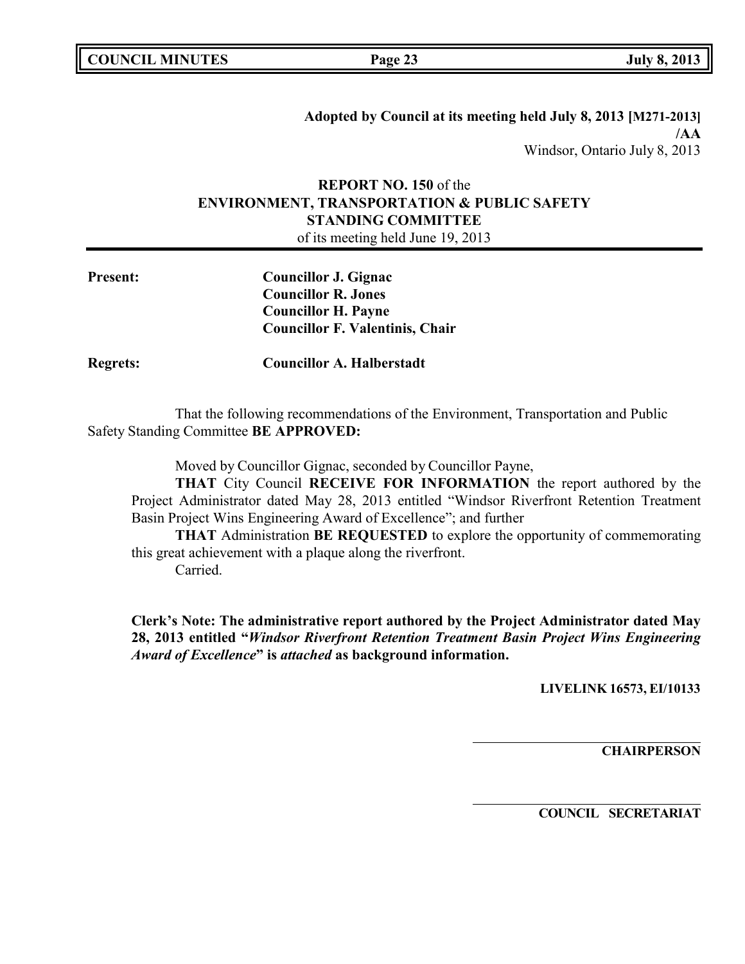**Adopted by Council at its meeting held July 8, 2013 [M271-2013] /AA** Windsor, Ontario July 8, 2013

# **REPORT NO. 150** of the **ENVIRONMENT, TRANSPORTATION & PUBLIC SAFETY STANDING COMMITTEE**

of its meeting held June 19, 2013

| <b>Present:</b> | Councillor J. Gignac                   |
|-----------------|----------------------------------------|
|                 | <b>Councillor R. Jones</b>             |
|                 | <b>Councillor H. Payne</b>             |
|                 | <b>Councillor F. Valentinis, Chair</b> |
|                 |                                        |

**Regrets: Councillor A. Halberstadt**

That the following recommendations of the Environment, Transportation and Public Safety Standing Committee **BE APPROVED:**

Moved by Councillor Gignac, seconded by Councillor Payne,

**THAT** City Council **RECEIVE FOR INFORMATION** the report authored by the Project Administrator dated May 28, 2013 entitled "Windsor Riverfront Retention Treatment Basin Project Wins Engineering Award of Excellence"; and further

**THAT** Administration **BE REQUESTED** to explore the opportunity of commemorating this great achievement with a plaque along the riverfront. Carried.

**Clerk's Note: The administrative report authored by the Project Administrator dated May 28, 2013 entitled "***Windsor Riverfront Retention Treatment Basin Project Wins Engineering Award of Excellence***" is** *attached* **as background information.**

**LIVELINK 16573, EI/10133**

**CHAIRPERSON**

**COUNCIL SECRETARIAT**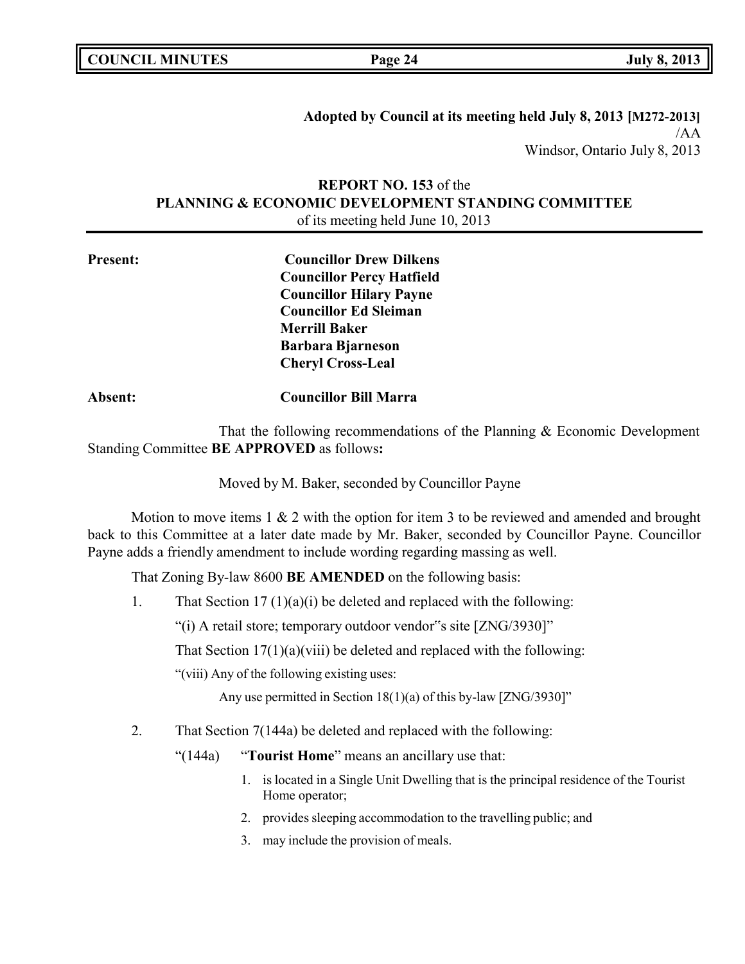| <b>COUNCIL MINUTES</b> |  |
|------------------------|--|
|------------------------|--|

**COUNCIL EXECUTE: COUNCIL EXECUTE: Page 24 July 8, 2013** 

**Adopted by Council at its meeting held July 8, 2013 [M272-2013]** /AA Windsor, Ontario July 8, 2013

# **REPORT NO. 153** of the **PLANNING & ECONOMIC DEVELOPMENT STANDING COMMITTEE** of its meeting held June 10, 2013

**Present: Councillor Drew Dilkens Councillor Percy Hatfield Councillor Hilary Payne Councillor Ed Sleiman Merrill Baker Barbara Bjarneson Cheryl Cross-Leal**

# **Absent: Councillor Bill Marra**

That the following recommendations of the Planning & Economic Development Standing Committee **BE APPROVED** as follows**:**

Moved by M. Baker, seconded by Councillor Payne

Motion to move items  $1 \& 2$  with the option for item 3 to be reviewed and amended and brought back to this Committee at a later date made by Mr. Baker, seconded by Councillor Payne. Councillor Payne adds a friendly amendment to include wording regarding massing as well.

That Zoning By-law 8600 **BE AMENDED** on the following basis:

1. That Section  $17 \frac{1}{a}(i)$  be deleted and replaced with the following:

"(i) A retail store; temporary outdoor vendor"s site [ZNG/3930]"

That Section  $17(1)(a)(viii)$  be deleted and replaced with the following:

"(viii) Any of the following existing uses:

Any use permitted in Section 18(1)(a) of this by-law [ZNG/3930]"

2. That Section 7(144a) be deleted and replaced with the following:

"(144a) "**Tourist Home**" means an ancillary use that:

- 1. is located in a Single Unit Dwelling that is the principal residence of the Tourist Home operator;
- 2. provides sleeping accommodation to the travelling public; and
- 3. may include the provision of meals.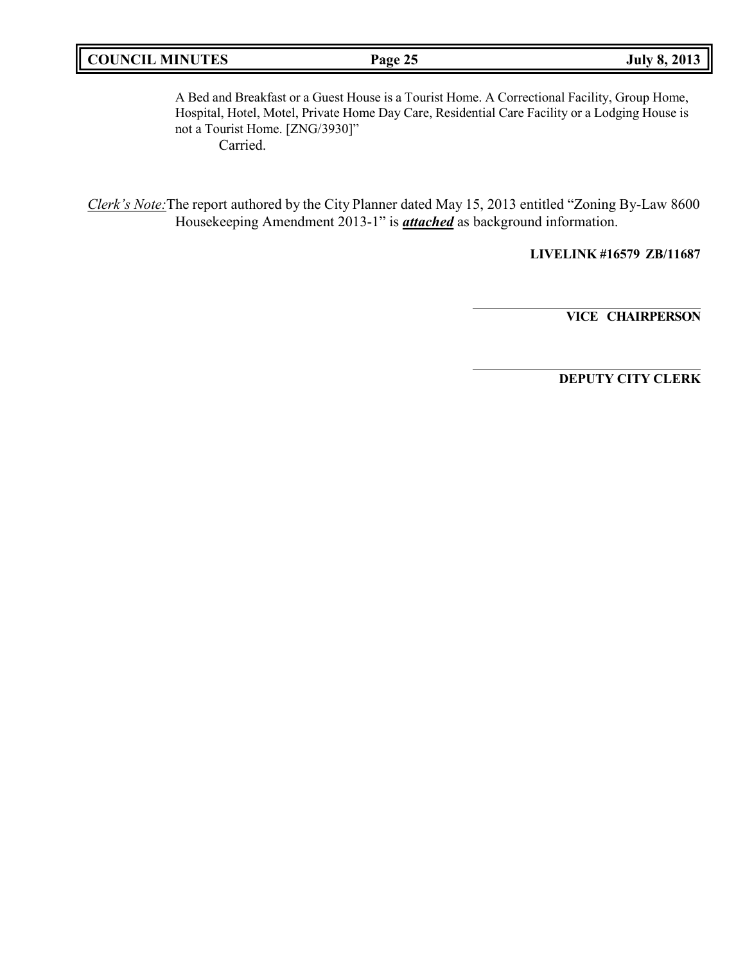| <b>COUNCIL MINUTES</b> |  |
|------------------------|--|
|------------------------|--|

A Bed and Breakfast or a Guest House is a Tourist Home. A Correctional Facility, Group Home, Hospital, Hotel, Motel, Private Home Day Care, Residential Care Facility or a Lodging House is not a Tourist Home. [ZNG/3930]" Carried.

*Clerk's Note:*The report authored by the City Planner dated May 15, 2013 entitled "Zoning By-Law 8600 Housekeeping Amendment 2013-1" is *attached* as background information.

**LIVELINK #16579 ZB/11687**

**VICE CHAIRPERSON**

**DEPUTY CITY CLERK**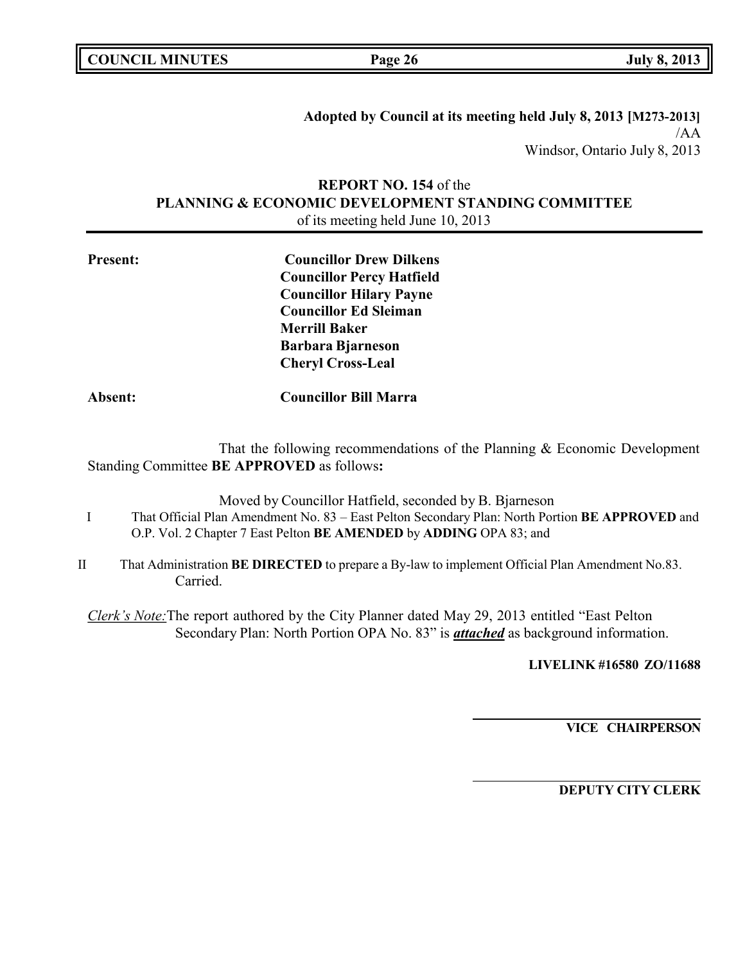**COUNCIL EXECUTE: COUNCIL EXECUTE: Page 26 July 8, 2013** 

**Adopted by Council at its meeting held July 8, 2013 [M273-2013]** /AA Windsor, Ontario July 8, 2013

# **REPORT NO. 154** of the **PLANNING & ECONOMIC DEVELOPMENT STANDING COMMITTEE** of its meeting held June 10, 2013

| <b>Present:</b> | <b>Councillor Drew Dilkens</b>                                     |
|-----------------|--------------------------------------------------------------------|
|                 | <b>Councillor Percy Hatfield</b><br><b>Councillor Hilary Payne</b> |
|                 |                                                                    |
|                 | <b>Councillor Ed Sleiman</b>                                       |
|                 | <b>Merrill Baker</b>                                               |
|                 | <b>Barbara Bjarneson</b>                                           |
|                 | <b>Cheryl Cross-Leal</b>                                           |
| Absent:         | <b>Councillor Bill Marra</b>                                       |

That the following recommendations of the Planning & Economic Development Standing Committee **BE APPROVED** as follows**:**

Moved by Councillor Hatfield, seconded by B. Bjarneson I That Official Plan Amendment No. 83 – East Pelton Secondary Plan: North Portion **BE APPROVED** and O.P. Vol. 2 Chapter 7 East Pelton **BE AMENDED** by **ADDING** OPA 83; and

II That Administration **BE DIRECTED** to prepare a By-law to implement Official Plan Amendment No.83. Carried.

*Clerk's Note:*The report authored by the City Planner dated May 29, 2013 entitled "East Pelton Secondary Plan: North Portion OPA No. 83" is *attached* as background information.

**LIVELINK #16580 ZO/11688**

**VICE CHAIRPERSON**

**DEPUTY CITY CLERK**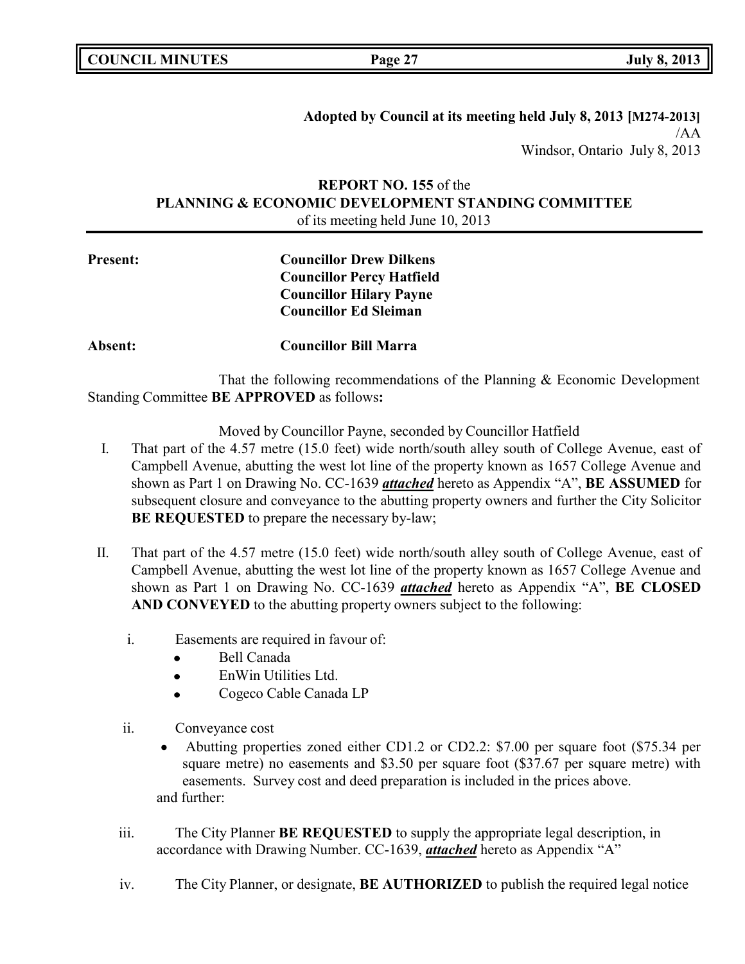**COUNCIL EXECUTE: COUNCIL EXECUTE: Page 27 July 8, 2013** 

**Adopted by Council at its meeting held July 8, 2013 [M274-2013]** /AA Windsor, Ontario July 8, 2013

# **REPORT NO. 155** of the **PLANNING & ECONOMIC DEVELOPMENT STANDING COMMITTEE** of its meeting held June 10, 2013

**Present: Councillor Drew Dilkens Councillor Percy Hatfield Councillor Hilary Payne Councillor Ed Sleiman**

**Absent: Councillor Bill Marra**

That the following recommendations of the Planning & Economic Development Standing Committee **BE APPROVED** as follows**:**

Moved by Councillor Payne, seconded by Councillor Hatfield

- I. That part of the 4.57 metre (15.0 feet) wide north/south alley south of College Avenue, east of Campbell Avenue, abutting the west lot line of the property known as 1657 College Avenue and shown as Part 1 on Drawing No. CC-1639 *attached* hereto as Appendix "A", **BE ASSUMED** for subsequent closure and conveyance to the abutting property owners and further the City Solicitor **BE REQUESTED** to prepare the necessary by-law;
- II. That part of the 4.57 metre (15.0 feet) wide north/south alley south of College Avenue, east of Campbell Avenue, abutting the west lot line of the property known as 1657 College Avenue and shown as Part 1 on Drawing No. CC-1639 *attached* hereto as Appendix "A", **BE CLOSED AND CONVEYED** to the abutting property owners subject to the following:
	- i. Easements are required in favour of:
		- Bell Canada
		- EnWin Utilities Ltd.  $\bullet$
		- Cogeco Cable Canada LP
	- ii. Conveyance cost
		- Abutting properties zoned either CD1.2 or CD2.2: \$7.00 per square foot (\$75.34 per square metre) no easements and \$3.50 per square foot (\$37.67 per square metre) with easements. Survey cost and deed preparation is included in the prices above. and further:
	- iii. The City Planner **BE REQUESTED** to supply the appropriate legal description, in accordance with Drawing Number. CC-1639, *attached* hereto as Appendix "A"
	- iv. The City Planner, or designate, **BE AUTHORIZED** to publish the required legal notice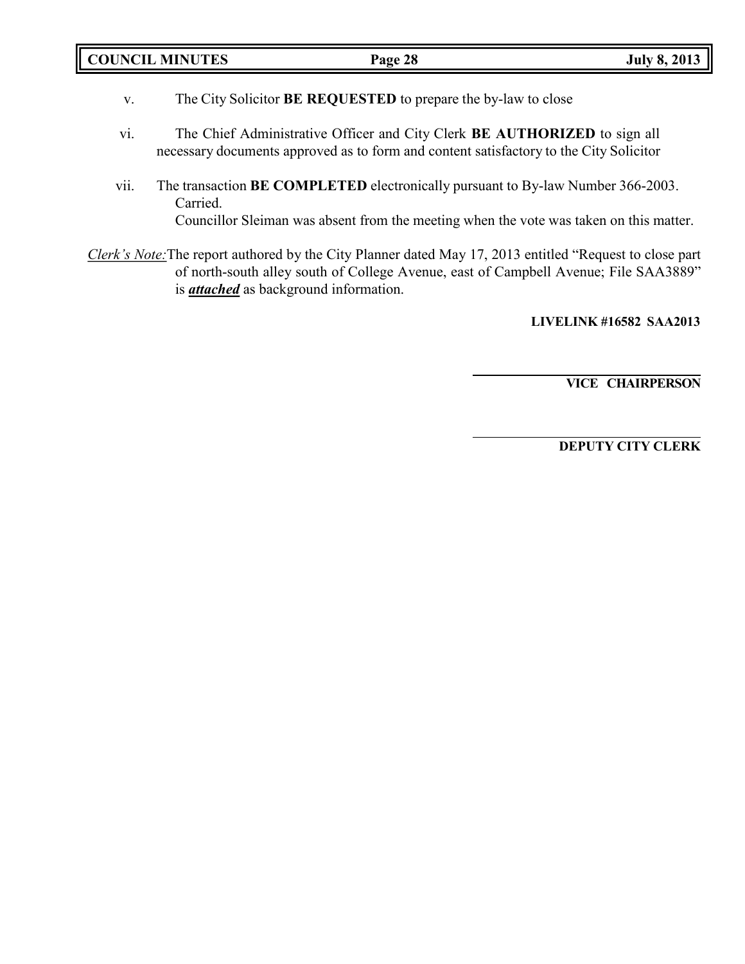| <b>COUNCIL MINUTES</b> |         | 2013    |
|------------------------|---------|---------|
|                        | Page 28 | July 8, |
|                        |         |         |

- v. The City Solicitor **BE REQUESTED** to prepare the by-law to close
- vi. The Chief Administrative Officer and City Clerk **BE AUTHORIZED** to sign all necessary documents approved as to form and content satisfactory to the City Solicitor
- vii. The transaction **BE COMPLETED** electronically pursuant to By-law Number 366-2003. Carried. Councillor Sleiman was absent from the meeting when the vote was taken on this matter.
- *Clerk's Note:*The report authored by the City Planner dated May 17, 2013 entitled "Request to close part of north-south alley south of College Avenue, east of Campbell Avenue; File SAA3889" is *attached* as background information.

**LIVELINK #16582 SAA2013**

**VICE CHAIRPERSON**

**DEPUTY CITY CLERK**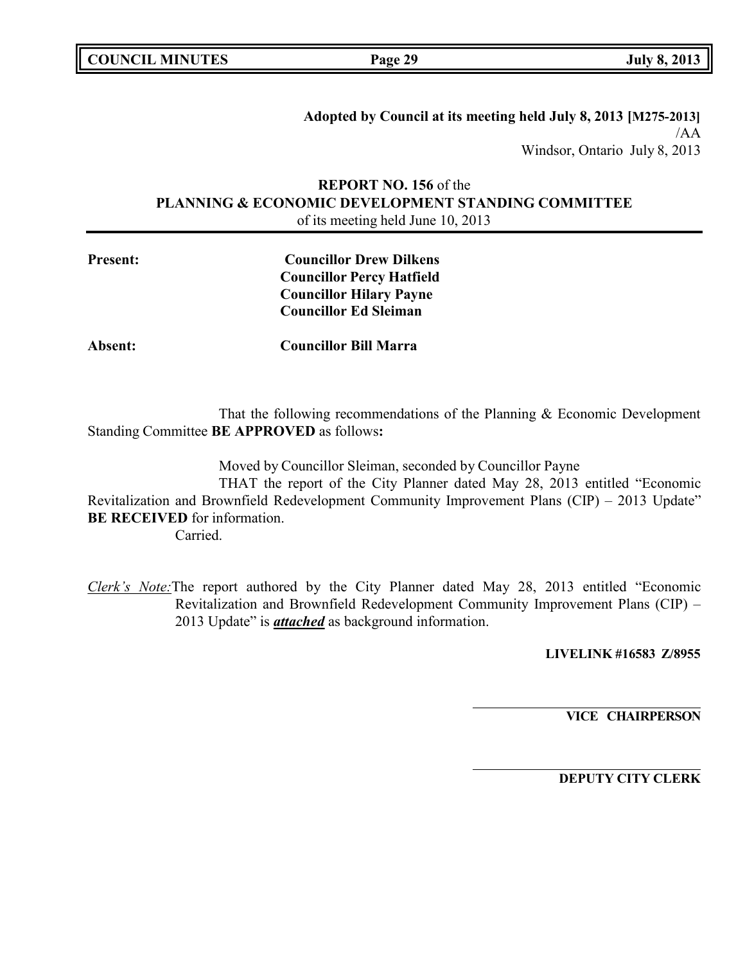| <b>COUNCIL MINUTES</b> |  |
|------------------------|--|
|------------------------|--|

**COUNCIL EXECUTE:** The **Page** 29 **July** 8, 2013

**Adopted by Council at its meeting held July 8, 2013 [M275-2013]** /AA Windsor, Ontario July 8, 2013

# **REPORT NO. 156** of the **PLANNING & ECONOMIC DEVELOPMENT STANDING COMMITTEE** of its meeting held June 10, 2013

**Present: Councillor Drew Dilkens Councillor Percy Hatfield Councillor Hilary Payne Councillor Ed Sleiman**

**Absent: Councillor Bill Marra**

That the following recommendations of the Planning & Economic Development Standing Committee **BE APPROVED** as follows**:**

Moved by Councillor Sleiman, seconded by Councillor Payne THAT the report of the City Planner dated May 28, 2013 entitled "Economic Revitalization and Brownfield Redevelopment Community Improvement Plans (CIP) – 2013 Update" **BE RECEIVED** for information. Carried.

*Clerk's Note:*The report authored by the City Planner dated May 28, 2013 entitled "Economic Revitalization and Brownfield Redevelopment Community Improvement Plans (CIP) – 2013 Update" is *attached* as background information.

**LIVELINK #16583 Z/8955**

**VICE CHAIRPERSON**

**DEPUTY CITY CLERK**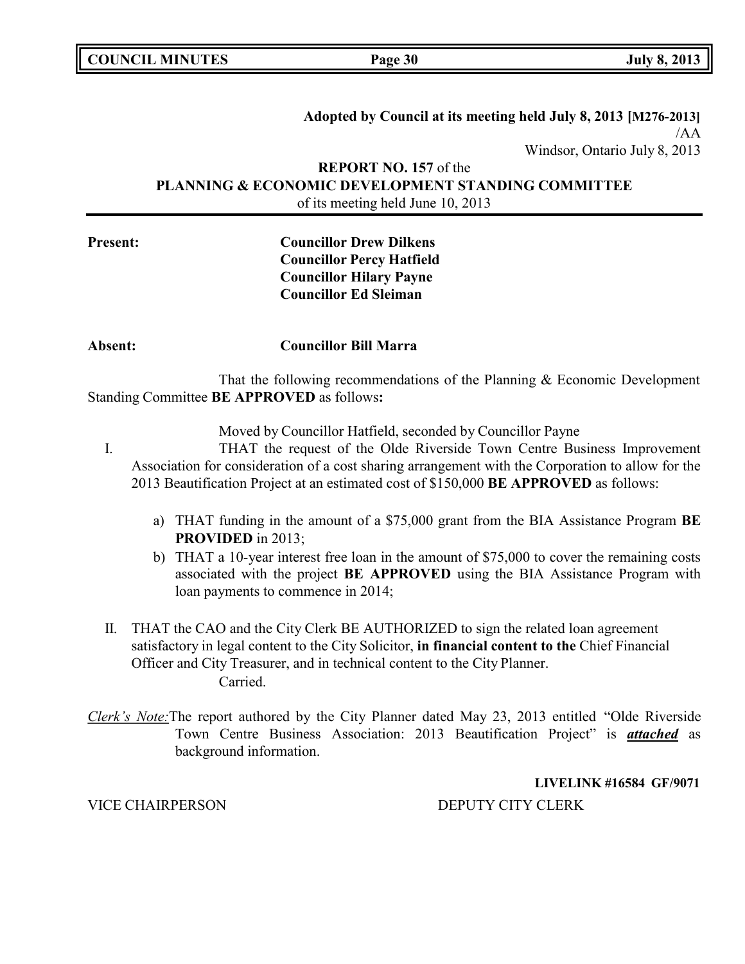**COUNCIL EXECUTE:** The **Page** 30 **July** 8, 2013

# **Adopted by Council at its meeting held July 8, 2013 [M276-2013]** /AA Windsor, Ontario July 8, 2013

**REPORT NO. 157** of the **PLANNING & ECONOMIC DEVELOPMENT STANDING COMMITTEE** of its meeting held June 10, 2013

# **Present: Councillor Drew Dilkens Councillor Percy Hatfield Councillor Hilary Payne**

### **Absent: Councillor Bill Marra**

**Councillor Ed Sleiman**

That the following recommendations of the Planning & Economic Development Standing Committee **BE APPROVED** as follows**:**

Moved by Councillor Hatfield, seconded by Councillor Payne

- I. THAT the request of the Olde Riverside Town Centre Business Improvement Association for consideration of a cost sharing arrangement with the Corporation to allow for the 2013 Beautification Project at an estimated cost of \$150,000 **BE APPROVED** as follows:
	- a) THAT funding in the amount of a \$75,000 grant from the BIA Assistance Program **BE PROVIDED** in 2013;
	- b) THAT a 10-year interest free loan in the amount of \$75,000 to cover the remaining costs associated with the project **BE APPROVED** using the BIA Assistance Program with loan payments to commence in 2014;
- II. THAT the CAO and the City Clerk BE AUTHORIZED to sign the related loan agreement satisfactory in legal content to the City Solicitor, **in financial content to the** Chief Financial Officer and City Treasurer, and in technical content to the City Planner. Carried.
- *Clerk's Note:*The report authored by the City Planner dated May 23, 2013 entitled "Olde Riverside Town Centre Business Association: 2013 Beautification Project" is *attached* as background information.

**LIVELINK #16584 GF/9071**

VICE CHAIRPERSON DEPUTY CITY CLERK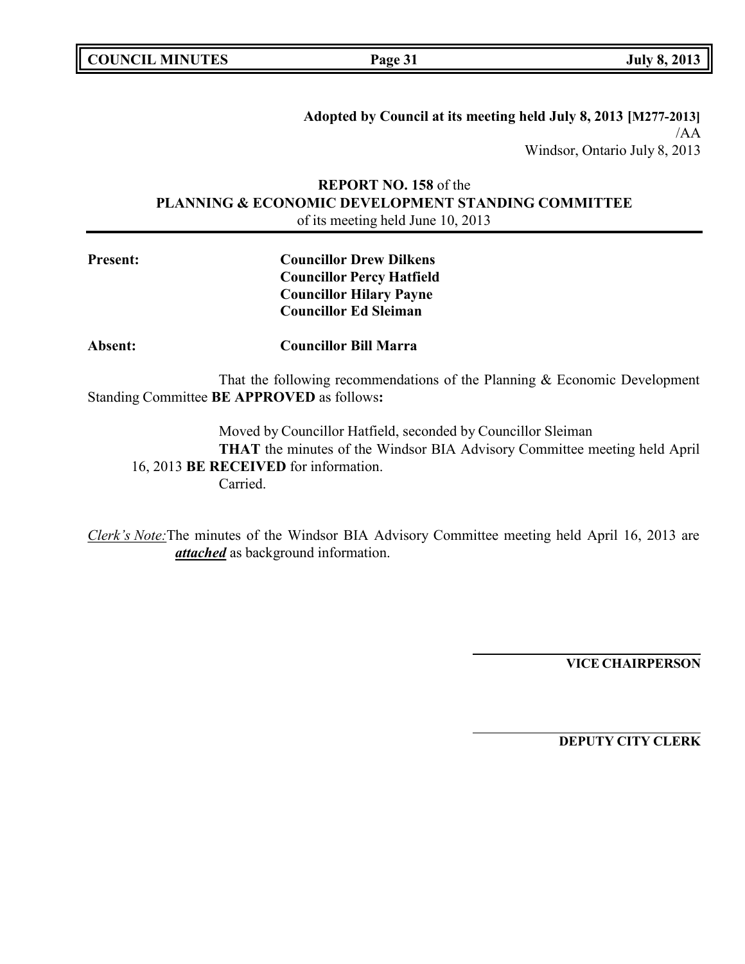**COUNCIL EXECUTE:** The **Page** 31 **Duly** 8, 2013

**Adopted by Council at its meeting held July 8, 2013 [M277-2013]** /AA Windsor, Ontario July 8, 2013

# **REPORT NO. 158** of the **PLANNING & ECONOMIC DEVELOPMENT STANDING COMMITTEE** of its meeting held June 10, 2013

**Present: Councillor Drew Dilkens Councillor Percy Hatfield Councillor Hilary Payne Councillor Ed Sleiman**

**Absent: Councillor Bill Marra**

That the following recommendations of the Planning & Economic Development Standing Committee **BE APPROVED** as follows**:**

Moved by Councillor Hatfield, seconded by Councillor Sleiman **THAT** the minutes of the Windsor BIA Advisory Committee meeting held April 16, 2013 **BE RECEIVED** for information. Carried.

*Clerk's Note:*The minutes of the Windsor BIA Advisory Committee meeting held April 16, 2013 are *attached* as background information.

**VICE CHAIRPERSON**

**DEPUTY CITY CLERK**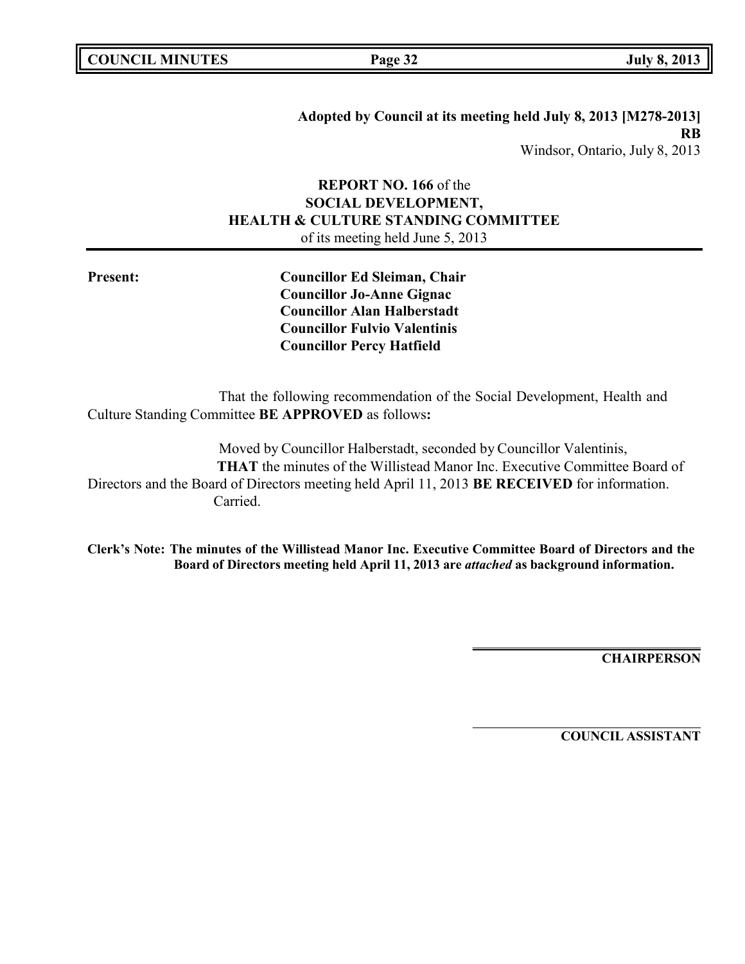**Adopted by Council at its meeting held July 8, 2013 [M278-2013] RB** Windsor, Ontario, July 8, 2013

# **REPORT NO. 166** of the **SOCIAL DEVELOPMENT, HEALTH & CULTURE STANDING COMMITTEE** of its meeting held June 5, 2013

**Present: Councillor Ed Sleiman, Chair Councillor Jo-Anne Gignac Councillor Alan Halberstadt Councillor Fulvio Valentinis Councillor Percy Hatfield**

That the following recommendation of the Social Development, Health and Culture Standing Committee **BE APPROVED** as follows**:**

Moved by Councillor Halberstadt, seconded by Councillor Valentinis, **THAT** the minutes of the Willistead Manor Inc. Executive Committee Board of Directors and the Board of Directors meeting held April 11, 2013 **BE RECEIVED** for information. Carried.

**Clerk's Note: The minutes of the Willistead Manor Inc. Executive Committee Board of Directors and the Board of Directors meeting held April 11, 2013 are** *attached* **as background information.**

**CHAIRPERSON**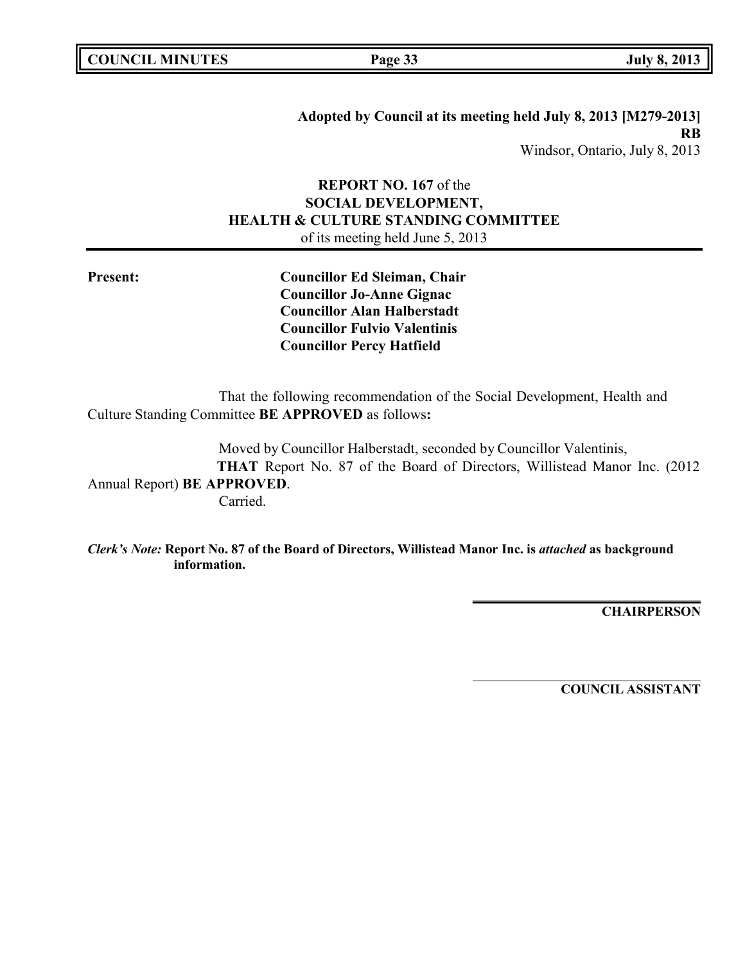**Adopted by Council at its meeting held July 8, 2013 [M279-2013] RB** Windsor, Ontario, July 8, 2013

# **REPORT NO. 167** of the **SOCIAL DEVELOPMENT, HEALTH & CULTURE STANDING COMMITTEE** of its meeting held June 5, 2013

**Present: Councillor Ed Sleiman, Chair Councillor Jo-Anne Gignac Councillor Alan Halberstadt Councillor Fulvio Valentinis Councillor Percy Hatfield**

That the following recommendation of the Social Development, Health and Culture Standing Committee **BE APPROVED** as follows**:**

Moved by Councillor Halberstadt, seconded by Councillor Valentinis, **THAT** Report No. 87 of the Board of Directors, Willistead Manor Inc. (2012 Annual Report) **BE APPROVED**. Carried.

*Clerk's Note:* **Report No. 87 of the Board of Directors, Willistead Manor Inc. is** *attached* **as background information.**

**CHAIRPERSON**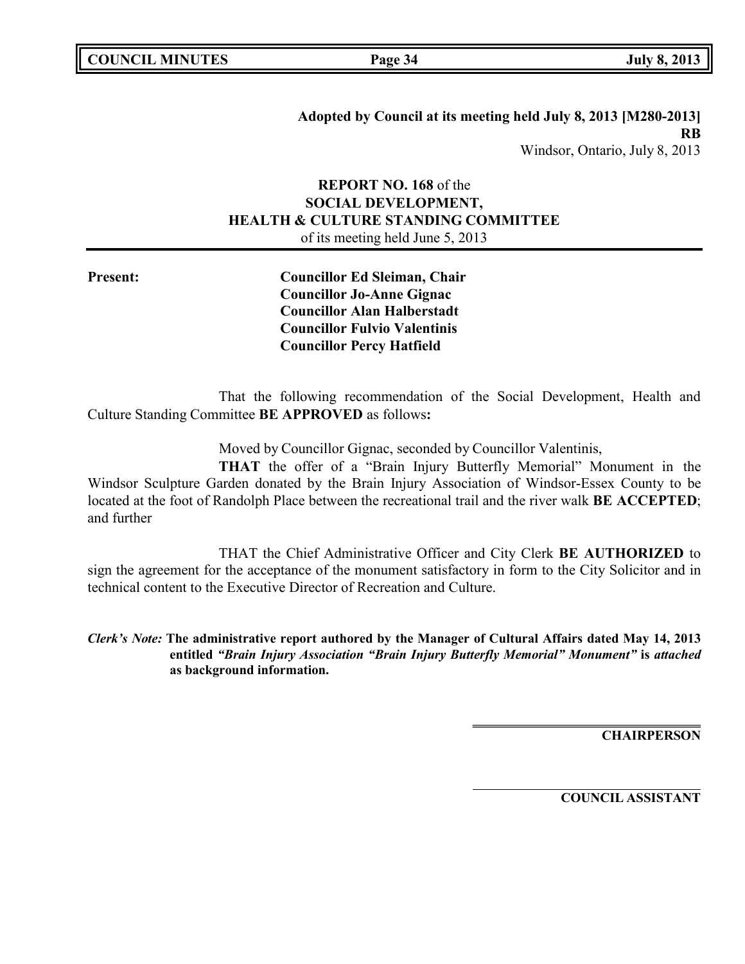# **REPORT NO. 168** of the **SOCIAL DEVELOPMENT, HEALTH & CULTURE STANDING COMMITTEE** of its meeting held June 5, 2013

**Present: Councillor Ed Sleiman, Chair Councillor Jo-Anne Gignac Councillor Alan Halberstadt Councillor Fulvio Valentinis Councillor Percy Hatfield**

That the following recommendation of the Social Development, Health and Culture Standing Committee **BE APPROVED** as follows**:**

Moved by Councillor Gignac, seconded by Councillor Valentinis,

**THAT** the offer of a "Brain Injury Butterfly Memorial" Monument in the Windsor Sculpture Garden donated by the Brain Injury Association of Windsor-Essex County to be located at the foot of Randolph Place between the recreational trail and the river walk **BE ACCEPTED**; and further

THAT the Chief Administrative Officer and City Clerk **BE AUTHORIZED** to sign the agreement for the acceptance of the monument satisfactory in form to the City Solicitor and in technical content to the Executive Director of Recreation and Culture.

*Clerk's Note:* **The administrative report authored by the Manager of Cultural Affairs dated May 14, 2013 entitled** *"Brain Injury Association "Brain Injury Butterfly Memorial" Monument"* **is** *attached* **as background information.**

**CHAIRPERSON**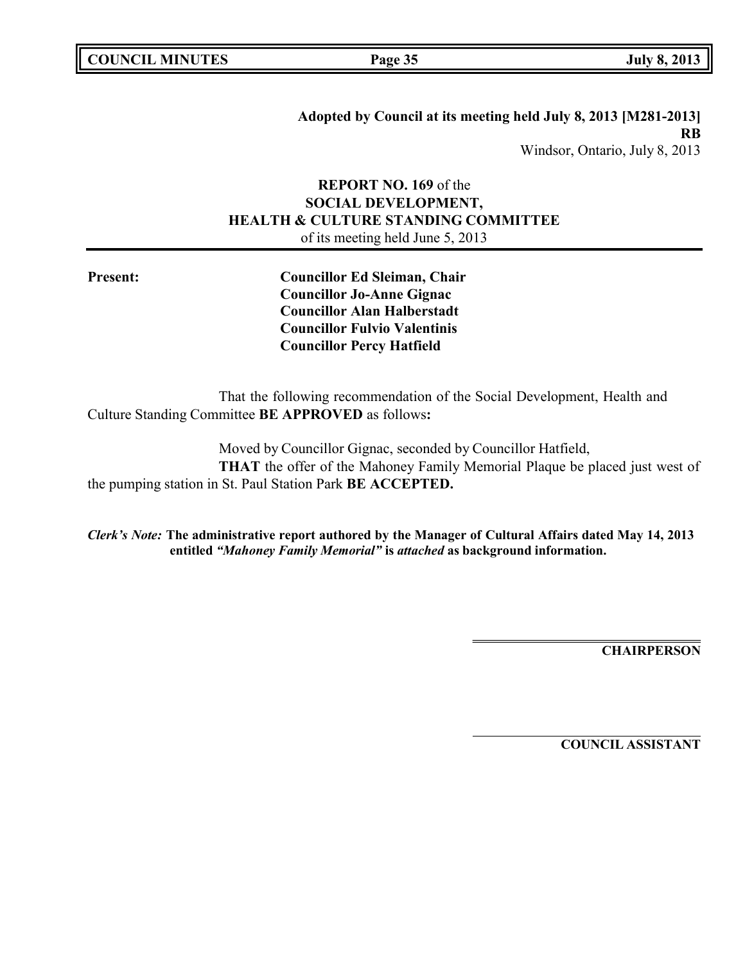**Adopted by Council at its meeting held July 8, 2013 [M281-2013] RB** Windsor, Ontario, July 8, 2013

# **REPORT NO. 169** of the **SOCIAL DEVELOPMENT, HEALTH & CULTURE STANDING COMMITTEE** of its meeting held June 5, 2013

**Present: Councillor Ed Sleiman, Chair Councillor Jo-Anne Gignac Councillor Alan Halberstadt Councillor Fulvio Valentinis Councillor Percy Hatfield**

That the following recommendation of the Social Development, Health and Culture Standing Committee **BE APPROVED** as follows**:**

Moved by Councillor Gignac, seconded by Councillor Hatfield, **THAT** the offer of the Mahoney Family Memorial Plaque be placed just west of the pumping station in St. Paul Station Park **BE ACCEPTED.**

*Clerk's Note:* **The administrative report authored by the Manager of Cultural Affairs dated May 14, 2013 entitled** *"Mahoney Family Memorial"* **is** *attached* **as background information.**

**CHAIRPERSON**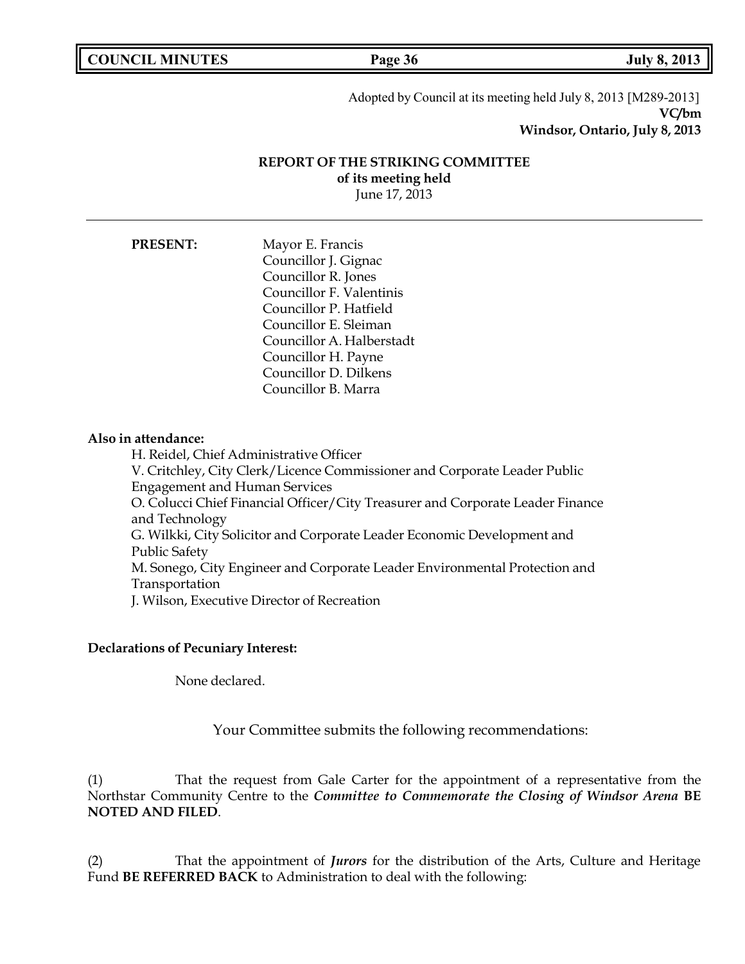**COUNCIL MINUTES Page 36 July 8, 2013**

Adopted by Council at its meeting held July 8, 2013 [M289-2013] **VC/bm Windsor, Ontario, July 8, 2013**

# **REPORT OF THE STRIKING COMMITTEE of its meeting held**

June 17, 2013

| <b>PRESENT:</b> | Mayor E. Francis          |
|-----------------|---------------------------|
|                 | Councillor J. Gignac      |
|                 | Councillor R. Jones       |
|                 | Councillor F. Valentinis  |
|                 | Councillor P. Hatfield    |
|                 | Councillor E. Sleiman     |
|                 | Councillor A. Halberstadt |
|                 | Councillor H. Payne       |
|                 | Councillor D. Dilkens     |
|                 | Councillor B. Marra       |

### **Also in attendance:**

H. Reidel, Chief Administrative Officer V. Critchley, City Clerk/Licence Commissioner and Corporate Leader Public Engagement and Human Services O. Colucci Chief Financial Officer/City Treasurer and Corporate Leader Finance and Technology G. Wilkki, City Solicitor and Corporate Leader Economic Development and Public Safety M. Sonego, City Engineer and Corporate Leader Environmental Protection and Transportation J. Wilson, Executive Director of Recreation

### **Declarations of Pecuniary Interest:**

None declared.

Your Committee submits the following recommendations:

(1) That the request from Gale Carter for the appointment of a representative from the Northstar Community Centre to the *Committee to Commemorate the Closing of Windsor Arena* **BE NOTED AND FILED**.

(2) That the appointment of *Jurors* for the distribution of the Arts, Culture and Heritage Fund **BE REFERRED BACK** to Administration to deal with the following: